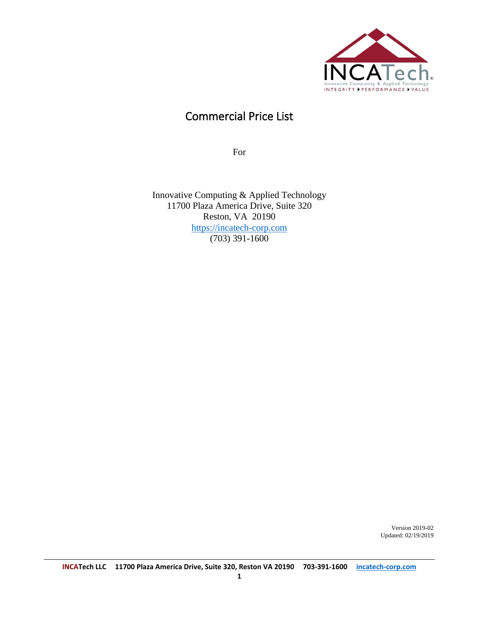

## Commercial Price List

For

Innovative Computing & Applied Technology 11700 Plaza America Drive, Suite 320 Reston, VA 20190 [https://incatech-corp.com](https://incatech-corp.com/) (703) 391-1600

> Version 2019-02 Updated: 02/19/2019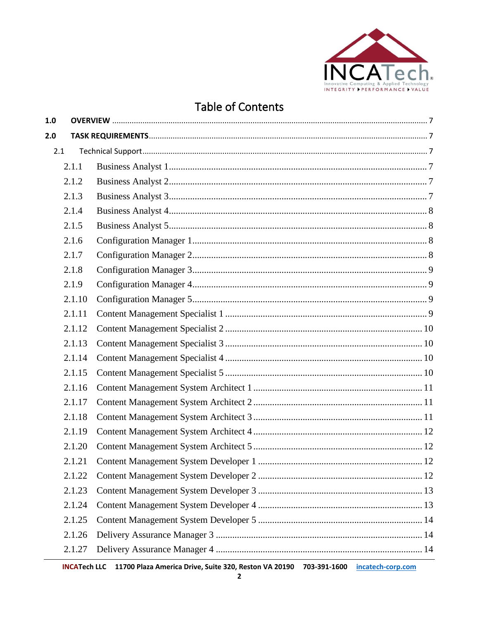

# **Table of Contents**

| 1.0 |        |  |
|-----|--------|--|
| 2.0 |        |  |
| 2.1 |        |  |
|     | 2.1.1  |  |
|     | 2.1.2  |  |
|     | 2.1.3  |  |
|     | 2.1.4  |  |
|     | 2.1.5  |  |
|     | 2.1.6  |  |
|     | 2.1.7  |  |
|     | 2.1.8  |  |
|     | 2.1.9  |  |
|     | 2.1.10 |  |
|     | 2.1.11 |  |
|     | 2.1.12 |  |
|     | 2.1.13 |  |
|     | 2.1.14 |  |
|     | 2.1.15 |  |
|     | 2.1.16 |  |
|     | 2.1.17 |  |
|     | 2.1.18 |  |
|     | 2.1.19 |  |
|     | 2.1.20 |  |
|     | 2.1.21 |  |
|     | 2.1.22 |  |
|     | 2.1.23 |  |
|     | 2.1.24 |  |
|     | 2.1.25 |  |
|     | 2.1.26 |  |
|     | 2.1.27 |  |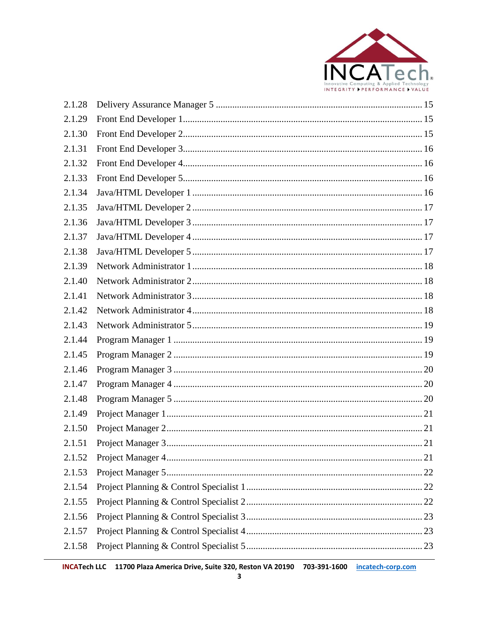

| 2.1.28 |  |
|--------|--|
| 2.1.29 |  |
| 2.1.30 |  |
| 2.1.31 |  |
| 2.1.32 |  |
| 2.1.33 |  |
| 2.1.34 |  |
| 2.1.35 |  |
| 2.1.36 |  |
| 2.1.37 |  |
| 2.1.38 |  |
| 2.1.39 |  |
| 2.1.40 |  |
| 2.1.41 |  |
| 2.1.42 |  |
| 2.1.43 |  |
| 2.1.44 |  |
| 2.1.45 |  |
| 2.1.46 |  |
| 2.1.47 |  |
| 2.1.48 |  |
| 2.1.49 |  |
| 2.1.50 |  |
| 2.1.51 |  |
| 2.1.52 |  |
| 2.1.53 |  |
| 2.1.54 |  |
| 2.1.55 |  |
| 2.1.56 |  |
| 2.1.57 |  |
| 2.1.58 |  |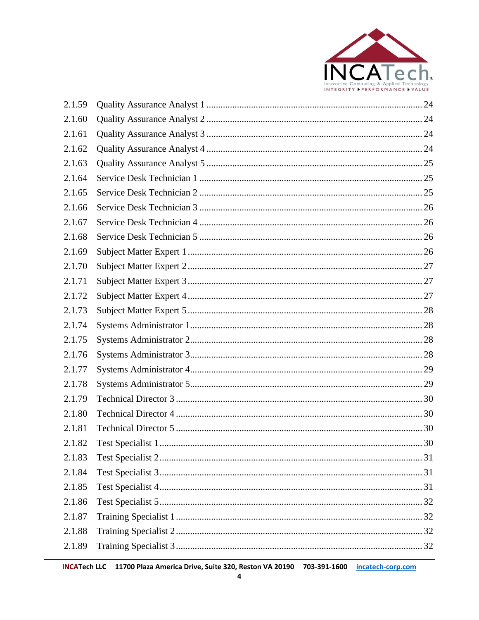

| 2.1.59 |  |
|--------|--|
| 2.1.60 |  |
| 2.1.61 |  |
| 2.1.62 |  |
| 2.1.63 |  |
| 2.1.64 |  |
| 2.1.65 |  |
| 2.1.66 |  |
| 2.1.67 |  |
| 2.1.68 |  |
| 2.1.69 |  |
| 2.1.70 |  |
| 2.1.71 |  |
| 2.1.72 |  |
| 2.1.73 |  |
| 2.1.74 |  |
| 2.1.75 |  |
| 2.1.76 |  |
| 2.1.77 |  |
| 2.1.78 |  |
| 2.1.79 |  |
| 2.1.80 |  |
| 2.1.81 |  |
| 2.1.82 |  |
| 2.1.83 |  |
| 2.1.84 |  |
| 2.1.85 |  |
| 2.1.86 |  |
| 2.1.87 |  |
| 2.1.88 |  |
| 2.1.89 |  |
|        |  |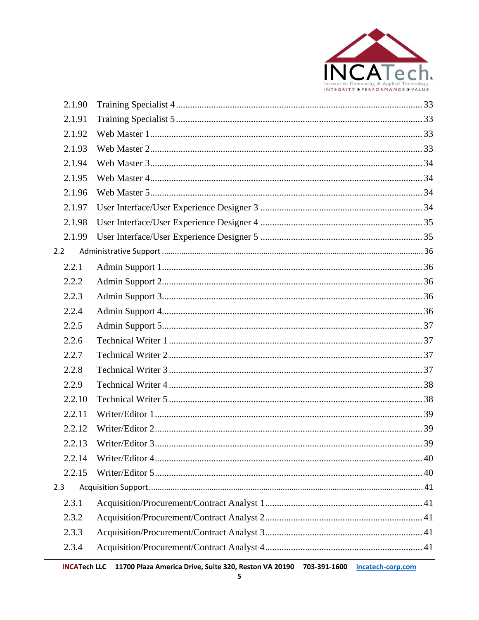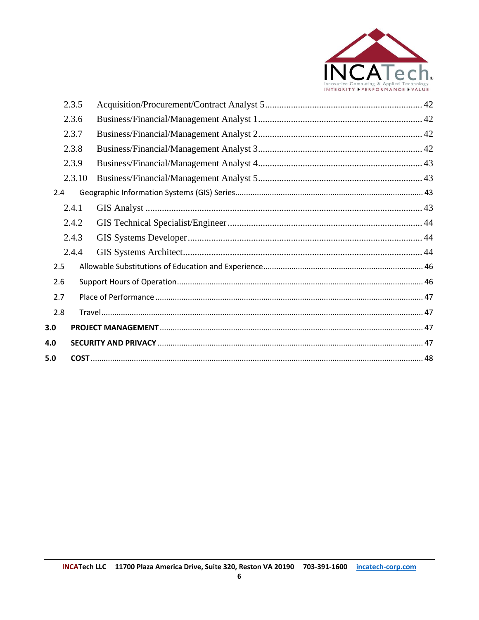

|     | 2.3.5  |  |
|-----|--------|--|
|     | 2.3.6  |  |
|     | 2.3.7  |  |
|     | 2.3.8  |  |
|     | 2.3.9  |  |
|     | 2.3.10 |  |
| 2.4 |        |  |
|     | 2.4.1  |  |
|     | 2.4.2  |  |
|     | 2.4.3  |  |
|     | 2.4.4  |  |
| 2.5 |        |  |
| 2.6 |        |  |
| 2.7 |        |  |
| 2.8 |        |  |
| 3.0 |        |  |
| 4.0 |        |  |
| 5.0 |        |  |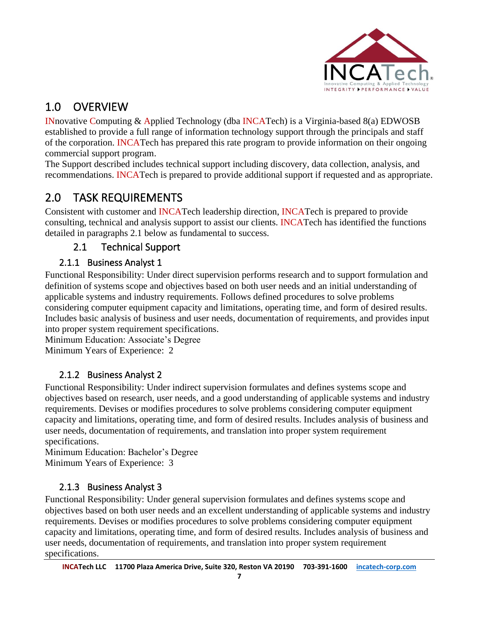

# <span id="page-6-0"></span>1.0 OVERVIEW

INnovative Computing & Applied Technology (dba INCATech) is a Virginia-based 8(a) EDWOSB established to provide a full range of information technology support through the principals and staff of the corporation. INCATech has prepared this rate program to provide information on their ongoing commercial support program.

The Support described includes technical support including discovery, data collection, analysis, and recommendations. INCATech is prepared to provide additional support if requested and as appropriate.

# <span id="page-6-1"></span>2.0 TASK REQUIREMENTS

Consistent with customer and INCATech leadership direction, INCATech is prepared to provide consulting, technical and analysis support to assist our clients. INCATech has identified the functions detailed in paragraphs 2.1 below as fundamental to success.

## 2.1 Technical Support

### <span id="page-6-3"></span><span id="page-6-2"></span>2.1.1 Business Analyst 1

Functional Responsibility: Under direct supervision performs research and to support formulation and definition of systems scope and objectives based on both user needs and an initial understanding of applicable systems and industry requirements. Follows defined procedures to solve problems considering computer equipment capacity and limitations, operating time, and form of desired results. Includes basic analysis of business and user needs, documentation of requirements, and provides input into proper system requirement specifications.

Minimum Education: Associate's Degree Minimum Years of Experience: 2

### 2.1.2 Business Analyst 2

<span id="page-6-4"></span>Functional Responsibility: Under indirect supervision formulates and defines systems scope and objectives based on research, user needs, and a good understanding of applicable systems and industry requirements. Devises or modifies procedures to solve problems considering computer equipment capacity and limitations, operating time, and form of desired results. Includes analysis of business and user needs, documentation of requirements, and translation into proper system requirement specifications.

Minimum Education: Bachelor's Degree Minimum Years of Experience: 3

### <span id="page-6-5"></span>2.1.3 Business Analyst 3

Functional Responsibility: Under general supervision formulates and defines systems scope and objectives based on both user needs and an excellent understanding of applicable systems and industry requirements. Devises or modifies procedures to solve problems considering computer equipment capacity and limitations, operating time, and form of desired results. Includes analysis of business and user needs, documentation of requirements, and translation into proper system requirement specifications.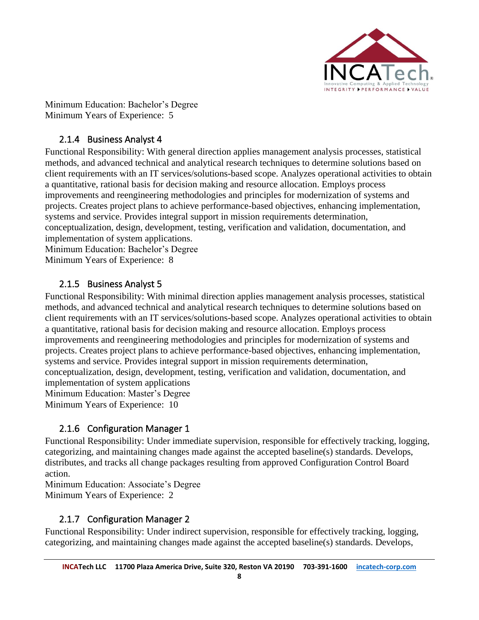

Minimum Education: Bachelor's Degree Minimum Years of Experience: 5

#### 2.1.4 Business Analyst 4

<span id="page-7-0"></span>Functional Responsibility: With general direction applies management analysis processes, statistical methods, and advanced technical and analytical research techniques to determine solutions based on client requirements with an IT services/solutions-based scope. Analyzes operational activities to obtain a quantitative, rational basis for decision making and resource allocation. Employs process improvements and reengineering methodologies and principles for modernization of systems and projects. Creates project plans to achieve performance-based objectives, enhancing implementation, systems and service. Provides integral support in mission requirements determination, conceptualization, design, development, testing, verification and validation, documentation, and implementation of system applications.

Minimum Education: Bachelor's Degree Minimum Years of Experience: 8

#### 2.1.5 Business Analyst 5

<span id="page-7-1"></span>Functional Responsibility: With minimal direction applies management analysis processes, statistical methods, and advanced technical and analytical research techniques to determine solutions based on client requirements with an IT services/solutions-based scope. Analyzes operational activities to obtain a quantitative, rational basis for decision making and resource allocation. Employs process improvements and reengineering methodologies and principles for modernization of systems and projects. Creates project plans to achieve performance-based objectives, enhancing implementation, systems and service. Provides integral support in mission requirements determination, conceptualization, design, development, testing, verification and validation, documentation, and implementation of system applications Minimum Education: Master's Degree

Minimum Years of Experience: 10

#### 2.1.6 Configuration Manager 1

<span id="page-7-2"></span>Functional Responsibility: Under immediate supervision, responsible for effectively tracking, logging, categorizing, and maintaining changes made against the accepted baseline(s) standards. Develops, distributes, and tracks all change packages resulting from approved Configuration Control Board action.

Minimum Education: Associate's Degree

Minimum Years of Experience: 2

#### 2.1.7 Configuration Manager 2

<span id="page-7-3"></span>Functional Responsibility: Under indirect supervision, responsible for effectively tracking, logging, categorizing, and maintaining changes made against the accepted baseline(s) standards. Develops,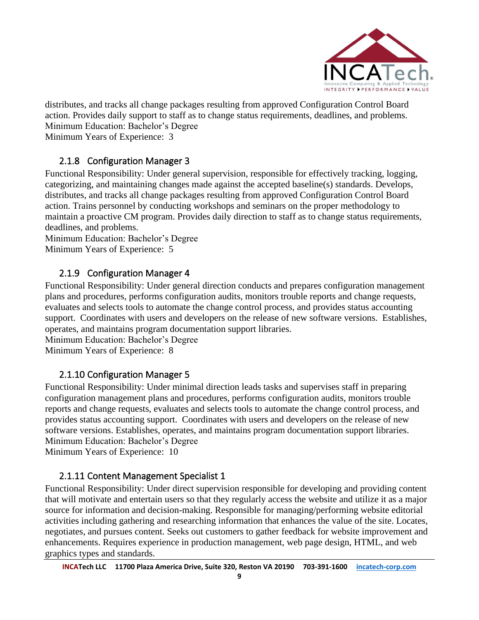

distributes, and tracks all change packages resulting from approved Configuration Control Board action. Provides daily support to staff as to change status requirements, deadlines, and problems. Minimum Education: Bachelor's Degree

Minimum Years of Experience: 3

#### 2.1.8 Configuration Manager 3

<span id="page-8-0"></span>Functional Responsibility: Under general supervision, responsible for effectively tracking, logging, categorizing, and maintaining changes made against the accepted baseline(s) standards. Develops, distributes, and tracks all change packages resulting from approved Configuration Control Board action. Trains personnel by conducting workshops and seminars on the proper methodology to maintain a proactive CM program. Provides daily direction to staff as to change status requirements, deadlines, and problems.

Minimum Education: Bachelor's Degree Minimum Years of Experience: 5

#### <span id="page-8-1"></span>2.1.9 Configuration Manager 4

Functional Responsibility: Under general direction conducts and prepares configuration management plans and procedures, performs configuration audits, monitors trouble reports and change requests, evaluates and selects tools to automate the change control process, and provides status accounting support. Coordinates with users and developers on the release of new software versions. Establishes, operates, and maintains program documentation support libraries.

Minimum Education: Bachelor's Degree Minimum Years of Experience: 8

#### 2.1.10 Configuration Manager 5

<span id="page-8-2"></span>Functional Responsibility: Under minimal direction leads tasks and supervises staff in preparing configuration management plans and procedures, performs configuration audits, monitors trouble reports and change requests, evaluates and selects tools to automate the change control process, and provides status accounting support. Coordinates with users and developers on the release of new software versions. Establishes, operates, and maintains program documentation support libraries. Minimum Education: Bachelor's Degree Minimum Years of Experience: 10

#### 2.1.11 Content Management Specialist 1

<span id="page-8-3"></span>Functional Responsibility: Under direct supervision responsible for developing and providing content that will motivate and entertain users so that they regularly access the website and utilize it as a major source for information and decision-making. Responsible for managing/performing website editorial activities including gathering and researching information that enhances the value of the site. Locates, negotiates, and pursues content. Seeks out customers to gather feedback for website improvement and enhancements. Requires experience in production management, web page design, HTML, and web graphics types and standards.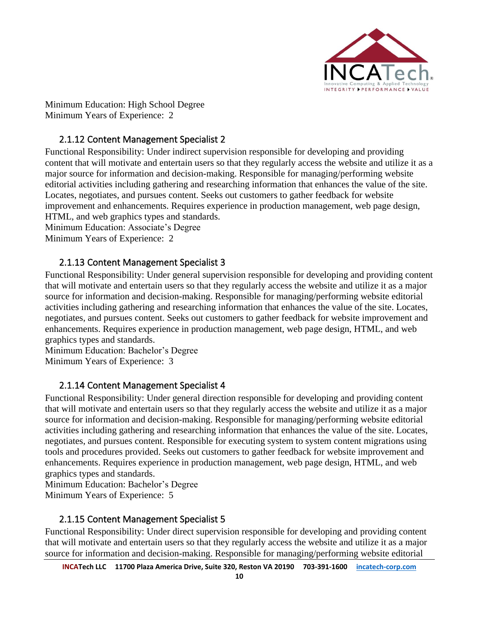

Minimum Education: High School Degree Minimum Years of Experience: 2

#### 2.1.12 Content Management Specialist 2

<span id="page-9-0"></span>Functional Responsibility: Under indirect supervision responsible for developing and providing content that will motivate and entertain users so that they regularly access the website and utilize it as a major source for information and decision-making. Responsible for managing/performing website editorial activities including gathering and researching information that enhances the value of the site. Locates, negotiates, and pursues content. Seeks out customers to gather feedback for website improvement and enhancements. Requires experience in production management, web page design, HTML, and web graphics types and standards.

Minimum Education: Associate's Degree Minimum Years of Experience: 2

#### <span id="page-9-1"></span>2.1.13 Content Management Specialist 3

Functional Responsibility: Under general supervision responsible for developing and providing content that will motivate and entertain users so that they regularly access the website and utilize it as a major source for information and decision-making. Responsible for managing/performing website editorial activities including gathering and researching information that enhances the value of the site. Locates, negotiates, and pursues content. Seeks out customers to gather feedback for website improvement and enhancements. Requires experience in production management, web page design, HTML, and web graphics types and standards.

Minimum Education: Bachelor's Degree Minimum Years of Experience: 3

#### 2.1.14 Content Management Specialist 4

<span id="page-9-2"></span>Functional Responsibility: Under general direction responsible for developing and providing content that will motivate and entertain users so that they regularly access the website and utilize it as a major source for information and decision-making. Responsible for managing/performing website editorial activities including gathering and researching information that enhances the value of the site. Locates, negotiates, and pursues content. Responsible for executing system to system content migrations using tools and procedures provided. Seeks out customers to gather feedback for website improvement and enhancements. Requires experience in production management, web page design, HTML, and web graphics types and standards.

Minimum Education: Bachelor's Degree

Minimum Years of Experience: 5

#### 2.1.15 Content Management Specialist 5

<span id="page-9-3"></span>Functional Responsibility: Under direct supervision responsible for developing and providing content that will motivate and entertain users so that they regularly access the website and utilize it as a major source for information and decision-making. Responsible for managing/performing website editorial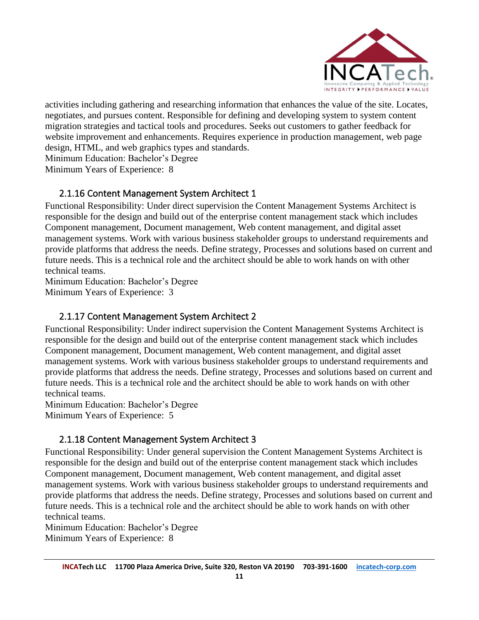

activities including gathering and researching information that enhances the value of the site. Locates, negotiates, and pursues content. Responsible for defining and developing system to system content migration strategies and tactical tools and procedures. Seeks out customers to gather feedback for website improvement and enhancements. Requires experience in production management, web page design, HTML, and web graphics types and standards.

Minimum Education: Bachelor's Degree

Minimum Years of Experience: 8

#### <span id="page-10-0"></span>2.1.16 Content Management System Architect 1

Functional Responsibility: Under direct supervision the Content Management Systems Architect is responsible for the design and build out of the enterprise content management stack which includes Component management, Document management, Web content management, and digital asset management systems. Work with various business stakeholder groups to understand requirements and provide platforms that address the needs. Define strategy, Processes and solutions based on current and future needs. This is a technical role and the architect should be able to work hands on with other technical teams.

Minimum Education: Bachelor's Degree Minimum Years of Experience: 3

#### 2.1.17 Content Management System Architect 2

<span id="page-10-1"></span>Functional Responsibility: Under indirect supervision the Content Management Systems Architect is responsible for the design and build out of the enterprise content management stack which includes Component management, Document management, Web content management, and digital asset management systems. Work with various business stakeholder groups to understand requirements and provide platforms that address the needs. Define strategy, Processes and solutions based on current and future needs. This is a technical role and the architect should be able to work hands on with other technical teams.

Minimum Education: Bachelor's Degree Minimum Years of Experience: 5

#### <span id="page-10-2"></span>2.1.18 Content Management System Architect 3

Functional Responsibility: Under general supervision the Content Management Systems Architect is responsible for the design and build out of the enterprise content management stack which includes Component management, Document management, Web content management, and digital asset management systems. Work with various business stakeholder groups to understand requirements and provide platforms that address the needs. Define strategy, Processes and solutions based on current and future needs. This is a technical role and the architect should be able to work hands on with other technical teams.

Minimum Education: Bachelor's Degree Minimum Years of Experience: 8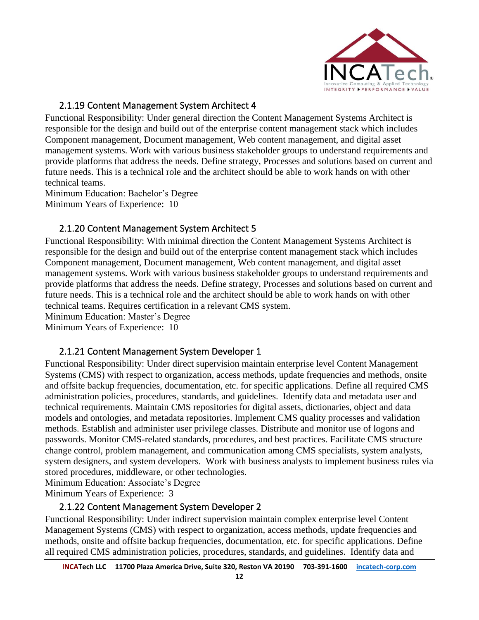

#### 2.1.19 Content Management System Architect 4

<span id="page-11-0"></span>Functional Responsibility: Under general direction the Content Management Systems Architect is responsible for the design and build out of the enterprise content management stack which includes Component management, Document management, Web content management, and digital asset management systems. Work with various business stakeholder groups to understand requirements and provide platforms that address the needs. Define strategy, Processes and solutions based on current and future needs. This is a technical role and the architect should be able to work hands on with other technical teams.

Minimum Education: Bachelor's Degree Minimum Years of Experience: 10

#### 2.1.20 Content Management System Architect 5

<span id="page-11-1"></span>Functional Responsibility: With minimal direction the Content Management Systems Architect is responsible for the design and build out of the enterprise content management stack which includes Component management, Document management, Web content management, and digital asset management systems. Work with various business stakeholder groups to understand requirements and provide platforms that address the needs. Define strategy, Processes and solutions based on current and future needs. This is a technical role and the architect should be able to work hands on with other technical teams. Requires certification in a relevant CMS system.

Minimum Education: Master's Degree

Minimum Years of Experience: 10

#### 2.1.21 Content Management System Developer 1

<span id="page-11-2"></span>Functional Responsibility: Under direct supervision maintain enterprise level Content Management Systems (CMS) with respect to organization, access methods, update frequencies and methods, onsite and offsite backup frequencies, documentation, etc. for specific applications. Define all required CMS administration policies, procedures, standards, and guidelines. Identify data and metadata user and technical requirements. Maintain CMS repositories for digital assets, dictionaries, object and data models and ontologies, and metadata repositories. Implement CMS quality processes and validation methods. Establish and administer user privilege classes. Distribute and monitor use of logons and passwords. Monitor CMS-related standards, procedures, and best practices. Facilitate CMS structure change control, problem management, and communication among CMS specialists, system analysts, system designers, and system developers. Work with business analysts to implement business rules via stored procedures, middleware, or other technologies.

Minimum Education: Associate's Degree

<span id="page-11-3"></span>Minimum Years of Experience: 3

#### 2.1.22 Content Management System Developer 2

Functional Responsibility: Under indirect supervision maintain complex enterprise level Content Management Systems (CMS) with respect to organization, access methods, update frequencies and methods, onsite and offsite backup frequencies, documentation, etc. for specific applications. Define all required CMS administration policies, procedures, standards, and guidelines. Identify data and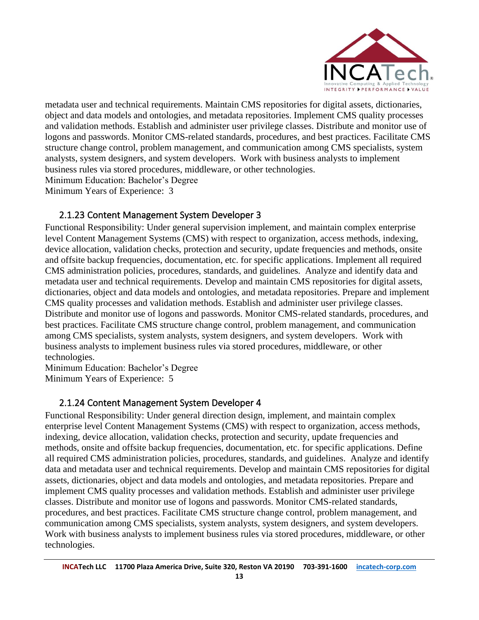

metadata user and technical requirements. Maintain CMS repositories for digital assets, dictionaries, object and data models and ontologies, and metadata repositories. Implement CMS quality processes and validation methods. Establish and administer user privilege classes. Distribute and monitor use of logons and passwords. Monitor CMS-related standards, procedures, and best practices. Facilitate CMS structure change control, problem management, and communication among CMS specialists, system analysts, system designers, and system developers. Work with business analysts to implement business rules via stored procedures, middleware, or other technologies. Minimum Education: Bachelor's Degree

Minimum Years of Experience: 3

#### 2.1.23 Content Management System Developer 3

<span id="page-12-0"></span>Functional Responsibility: Under general supervision implement, and maintain complex enterprise level Content Management Systems (CMS) with respect to organization, access methods, indexing, device allocation, validation checks, protection and security, update frequencies and methods, onsite and offsite backup frequencies, documentation, etc. for specific applications. Implement all required CMS administration policies, procedures, standards, and guidelines. Analyze and identify data and metadata user and technical requirements. Develop and maintain CMS repositories for digital assets, dictionaries, object and data models and ontologies, and metadata repositories. Prepare and implement CMS quality processes and validation methods. Establish and administer user privilege classes. Distribute and monitor use of logons and passwords. Monitor CMS-related standards, procedures, and best practices. Facilitate CMS structure change control, problem management, and communication among CMS specialists, system analysts, system designers, and system developers. Work with business analysts to implement business rules via stored procedures, middleware, or other technologies.

Minimum Education: Bachelor's Degree Minimum Years of Experience: 5

#### 2.1.24 Content Management System Developer 4

<span id="page-12-1"></span>Functional Responsibility: Under general direction design, implement, and maintain complex enterprise level Content Management Systems (CMS) with respect to organization, access methods, indexing, device allocation, validation checks, protection and security, update frequencies and methods, onsite and offsite backup frequencies, documentation, etc. for specific applications. Define all required CMS administration policies, procedures, standards, and guidelines. Analyze and identify data and metadata user and technical requirements. Develop and maintain CMS repositories for digital assets, dictionaries, object and data models and ontologies, and metadata repositories. Prepare and implement CMS quality processes and validation methods. Establish and administer user privilege classes. Distribute and monitor use of logons and passwords. Monitor CMS-related standards, procedures, and best practices. Facilitate CMS structure change control, problem management, and communication among CMS specialists, system analysts, system designers, and system developers. Work with business analysts to implement business rules via stored procedures, middleware, or other technologies.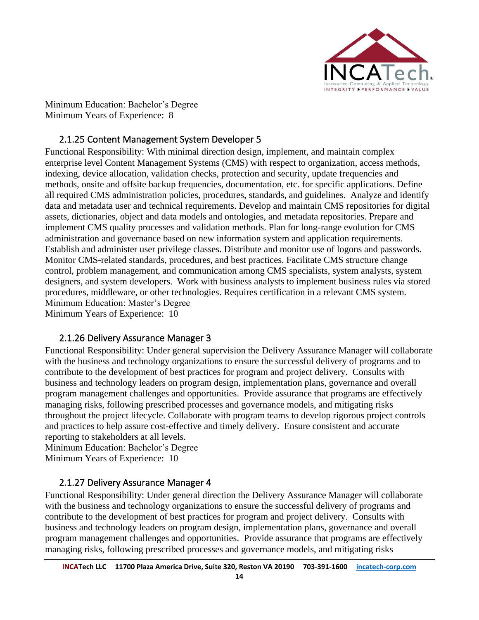

Minimum Education: Bachelor's Degree Minimum Years of Experience: 8

#### 2.1.25 Content Management System Developer 5

<span id="page-13-0"></span>Functional Responsibility: With minimal direction design, implement, and maintain complex enterprise level Content Management Systems (CMS) with respect to organization, access methods, indexing, device allocation, validation checks, protection and security, update frequencies and methods, onsite and offsite backup frequencies, documentation, etc. for specific applications. Define all required CMS administration policies, procedures, standards, and guidelines. Analyze and identify data and metadata user and technical requirements. Develop and maintain CMS repositories for digital assets, dictionaries, object and data models and ontologies, and metadata repositories. Prepare and implement CMS quality processes and validation methods. Plan for long-range evolution for CMS administration and governance based on new information system and application requirements. Establish and administer user privilege classes. Distribute and monitor use of logons and passwords. Monitor CMS-related standards, procedures, and best practices. Facilitate CMS structure change control, problem management, and communication among CMS specialists, system analysts, system designers, and system developers. Work with business analysts to implement business rules via stored procedures, middleware, or other technologies. Requires certification in a relevant CMS system. Minimum Education: Master's Degree Minimum Years of Experience: 10

#### 2.1.26 Delivery Assurance Manager 3

<span id="page-13-1"></span>Functional Responsibility: Under general supervision the Delivery Assurance Manager will collaborate with the business and technology organizations to ensure the successful delivery of programs and to contribute to the development of best practices for program and project delivery. Consults with business and technology leaders on program design, implementation plans, governance and overall program management challenges and opportunities. Provide assurance that programs are effectively managing risks, following prescribed processes and governance models, and mitigating risks throughout the project lifecycle. Collaborate with program teams to develop rigorous project controls and practices to help assure cost-effective and timely delivery. Ensure consistent and accurate reporting to stakeholders at all levels.

Minimum Education: Bachelor's Degree Minimum Years of Experience: 10

#### 2.1.27 Delivery Assurance Manager 4

<span id="page-13-2"></span>Functional Responsibility: Under general direction the Delivery Assurance Manager will collaborate with the business and technology organizations to ensure the successful delivery of programs and contribute to the development of best practices for program and project delivery. Consults with business and technology leaders on program design, implementation plans, governance and overall program management challenges and opportunities. Provide assurance that programs are effectively managing risks, following prescribed processes and governance models, and mitigating risks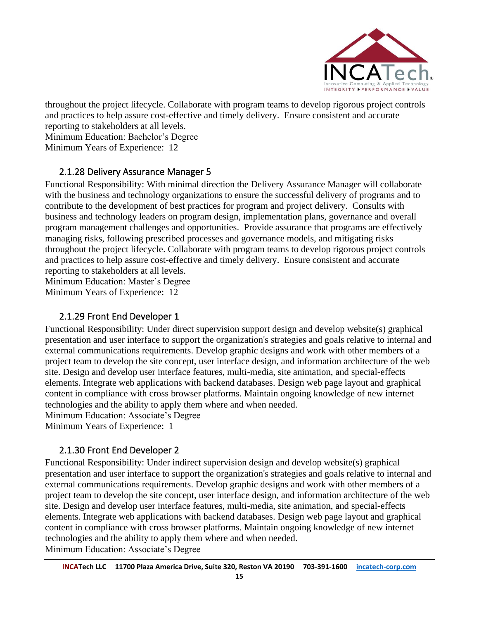

throughout the project lifecycle. Collaborate with program teams to develop rigorous project controls and practices to help assure cost-effective and timely delivery. Ensure consistent and accurate reporting to stakeholders at all levels.

Minimum Education: Bachelor's Degree

Minimum Years of Experience: 12

#### <span id="page-14-0"></span>2.1.28 Delivery Assurance Manager 5

Functional Responsibility: With minimal direction the Delivery Assurance Manager will collaborate with the business and technology organizations to ensure the successful delivery of programs and to contribute to the development of best practices for program and project delivery. Consults with business and technology leaders on program design, implementation plans, governance and overall program management challenges and opportunities. Provide assurance that programs are effectively managing risks, following prescribed processes and governance models, and mitigating risks throughout the project lifecycle. Collaborate with program teams to develop rigorous project controls and practices to help assure cost-effective and timely delivery. Ensure consistent and accurate reporting to stakeholders at all levels.

Minimum Education: Master's Degree Minimum Years of Experience: 12

#### 2.1.29 Front End Developer 1

<span id="page-14-1"></span>Functional Responsibility: Under direct supervision support design and develop website(s) graphical presentation and user interface to support the organization's strategies and goals relative to internal and external communications requirements. Develop graphic designs and work with other members of a project team to develop the site concept, user interface design, and information architecture of the web site. Design and develop user interface features, multi-media, site animation, and special-effects elements. Integrate web applications with backend databases. Design web page layout and graphical content in compliance with cross browser platforms. Maintain ongoing knowledge of new internet technologies and the ability to apply them where and when needed. Minimum Education: Associate's Degree

Minimum Years of Experience: 1

#### <span id="page-14-2"></span>2.1.30 Front End Developer 2

Functional Responsibility: Under indirect supervision design and develop website(s) graphical presentation and user interface to support the organization's strategies and goals relative to internal and external communications requirements. Develop graphic designs and work with other members of a project team to develop the site concept, user interface design, and information architecture of the web site. Design and develop user interface features, multi-media, site animation, and special-effects elements. Integrate web applications with backend databases. Design web page layout and graphical content in compliance with cross browser platforms. Maintain ongoing knowledge of new internet technologies and the ability to apply them where and when needed. Minimum Education: Associate's Degree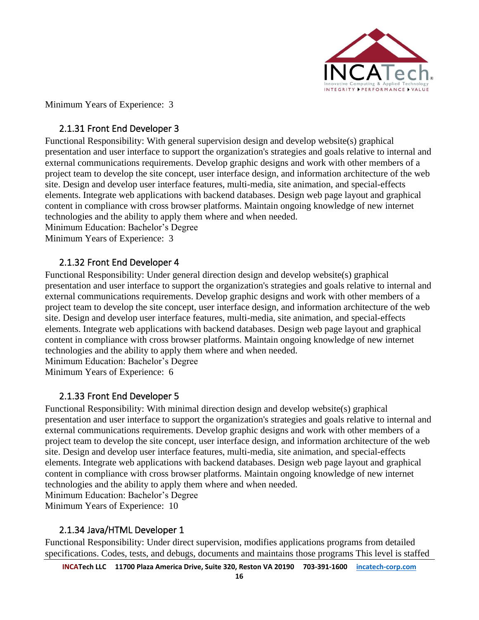

Minimum Years of Experience: 3

#### <span id="page-15-0"></span>2.1.31 Front End Developer 3

Functional Responsibility: With general supervision design and develop website(s) graphical presentation and user interface to support the organization's strategies and goals relative to internal and external communications requirements. Develop graphic designs and work with other members of a project team to develop the site concept, user interface design, and information architecture of the web site. Design and develop user interface features, multi-media, site animation, and special-effects elements. Integrate web applications with backend databases. Design web page layout and graphical content in compliance with cross browser platforms. Maintain ongoing knowledge of new internet technologies and the ability to apply them where and when needed.

Minimum Education: Bachelor's Degree Minimum Years of Experience: 3

#### <span id="page-15-1"></span>2.1.32 Front End Developer 4

Functional Responsibility: Under general direction design and develop website(s) graphical presentation and user interface to support the organization's strategies and goals relative to internal and external communications requirements. Develop graphic designs and work with other members of a project team to develop the site concept, user interface design, and information architecture of the web site. Design and develop user interface features, multi-media, site animation, and special-effects elements. Integrate web applications with backend databases. Design web page layout and graphical content in compliance with cross browser platforms. Maintain ongoing knowledge of new internet technologies and the ability to apply them where and when needed.

Minimum Education: Bachelor's Degree Minimum Years of Experience: 6

#### 2.1.33 Front End Developer 5

<span id="page-15-2"></span>Functional Responsibility: With minimal direction design and develop website(s) graphical presentation and user interface to support the organization's strategies and goals relative to internal and external communications requirements. Develop graphic designs and work with other members of a project team to develop the site concept, user interface design, and information architecture of the web site. Design and develop user interface features, multi-media, site animation, and special-effects elements. Integrate web applications with backend databases. Design web page layout and graphical content in compliance with cross browser platforms. Maintain ongoing knowledge of new internet technologies and the ability to apply them where and when needed.

Minimum Education: Bachelor's Degree

Minimum Years of Experience: 10

#### 2.1.34 Java/HTML Developer 1

<span id="page-15-3"></span>Functional Responsibility: Under direct supervision, modifies applications programs from detailed specifications. Codes, tests, and debugs, documents and maintains those programs This level is staffed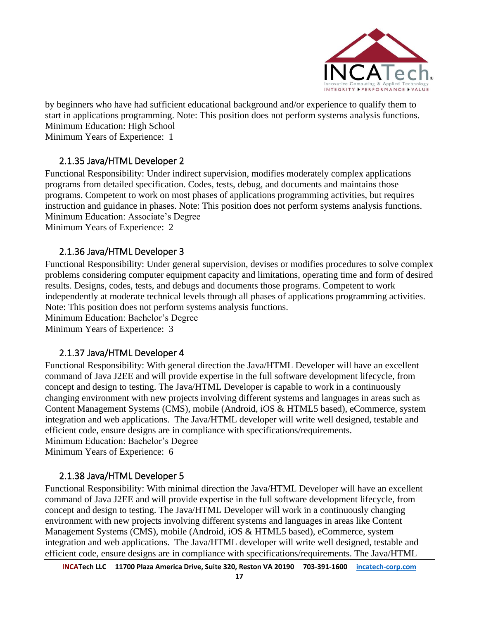

by beginners who have had sufficient educational background and/or experience to qualify them to start in applications programming. Note: This position does not perform systems analysis functions. Minimum Education: High School

Minimum Years of Experience: 1

#### 2.1.35 Java/HTML Developer 2

<span id="page-16-0"></span>Functional Responsibility: Under indirect supervision, modifies moderately complex applications programs from detailed specification. Codes, tests, debug, and documents and maintains those programs. Competent to work on most phases of applications programming activities, but requires instruction and guidance in phases. Note: This position does not perform systems analysis functions. Minimum Education: Associate's Degree

Minimum Years of Experience: 2

#### 2.1.36 Java/HTML Developer 3

<span id="page-16-1"></span>Functional Responsibility: Under general supervision, devises or modifies procedures to solve complex problems considering computer equipment capacity and limitations, operating time and form of desired results. Designs, codes, tests, and debugs and documents those programs. Competent to work independently at moderate technical levels through all phases of applications programming activities. Note: This position does not perform systems analysis functions. Minimum Education: Bachelor's Degree

Minimum Years of Experience: 3

#### 2.1.37 Java/HTML Developer 4

<span id="page-16-2"></span>Functional Responsibility: With general direction the Java/HTML Developer will have an excellent command of Java J2EE and will provide expertise in the full software development lifecycle, from concept and design to testing. The Java/HTML Developer is capable to work in a continuously changing environment with new projects involving different systems and languages in areas such as Content Management Systems (CMS), mobile (Android, iOS & HTML5 based), eCommerce, system integration and web applications. The Java/HTML developer will write well designed, testable and efficient code, ensure designs are in compliance with specifications/requirements. Minimum Education: Bachelor's Degree

Minimum Years of Experience: 6

#### <span id="page-16-3"></span>2.1.38 Java/HTML Developer 5

Functional Responsibility: With minimal direction the Java/HTML Developer will have an excellent command of Java J2EE and will provide expertise in the full software development lifecycle, from concept and design to testing. The Java/HTML Developer will work in a continuously changing environment with new projects involving different systems and languages in areas like Content Management Systems (CMS), mobile (Android, iOS & HTML5 based), eCommerce, system integration and web applications. The Java/HTML developer will write well designed, testable and efficient code, ensure designs are in compliance with specifications/requirements. The Java/HTML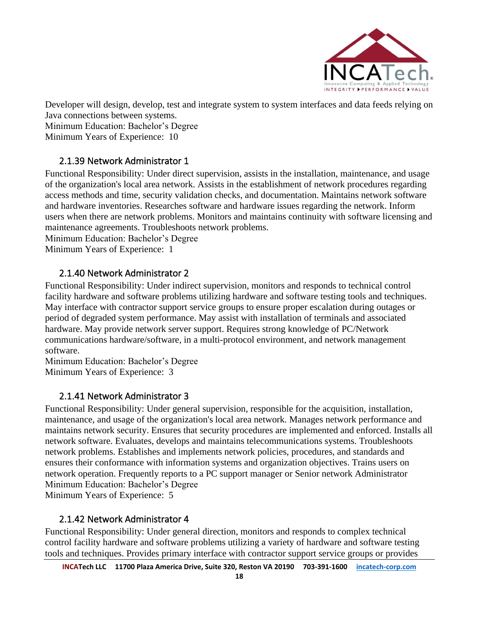

Developer will design, develop, test and integrate system to system interfaces and data feeds relying on Java connections between systems.

Minimum Education: Bachelor's Degree Minimum Years of Experience: 10

#### 2.1.39 Network Administrator 1

<span id="page-17-0"></span>Functional Responsibility: Under direct supervision, assists in the installation, maintenance, and usage of the organization's local area network. Assists in the establishment of network procedures regarding access methods and time, security validation checks, and documentation. Maintains network software and hardware inventories. Researches software and hardware issues regarding the network. Inform users when there are network problems. Monitors and maintains continuity with software licensing and maintenance agreements. Troubleshoots network problems.

Minimum Education: Bachelor's Degree

Minimum Years of Experience: 1

#### 2.1.40 Network Administrator 2

<span id="page-17-1"></span>Functional Responsibility: Under indirect supervision, monitors and responds to technical control facility hardware and software problems utilizing hardware and software testing tools and techniques. May interface with contractor support service groups to ensure proper escalation during outages or period of degraded system performance. May assist with installation of terminals and associated hardware. May provide network server support. Requires strong knowledge of PC/Network communications hardware/software, in a multi-protocol environment, and network management software.

Minimum Education: Bachelor's Degree Minimum Years of Experience: 3

#### 2.1.41 Network Administrator 3

<span id="page-17-2"></span>Functional Responsibility: Under general supervision, responsible for the acquisition, installation, maintenance, and usage of the organization's local area network. Manages network performance and maintains network security. Ensures that security procedures are implemented and enforced. Installs all network software. Evaluates, develops and maintains telecommunications systems. Troubleshoots network problems. Establishes and implements network policies, procedures, and standards and ensures their conformance with information systems and organization objectives. Trains users on network operation. Frequently reports to a PC support manager or Senior network Administrator Minimum Education: Bachelor's Degree

Minimum Years of Experience: 5

#### 2.1.42 Network Administrator 4

<span id="page-17-3"></span>Functional Responsibility: Under general direction, monitors and responds to complex technical control facility hardware and software problems utilizing a variety of hardware and software testing tools and techniques. Provides primary interface with contractor support service groups or provides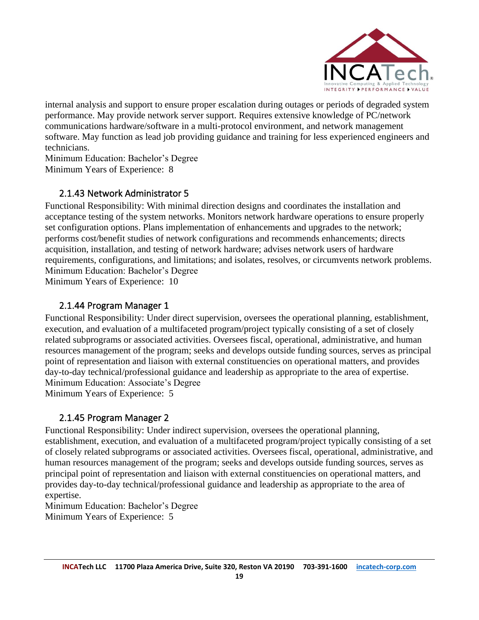

internal analysis and support to ensure proper escalation during outages or periods of degraded system performance. May provide network server support. Requires extensive knowledge of PC/network communications hardware/software in a multi-protocol environment, and network management software. May function as lead job providing guidance and training for less experienced engineers and technicians.

Minimum Education: Bachelor's Degree Minimum Years of Experience: 8

#### 2.1.43 Network Administrator 5

<span id="page-18-0"></span>Functional Responsibility: With minimal direction designs and coordinates the installation and acceptance testing of the system networks. Monitors network hardware operations to ensure properly set configuration options. Plans implementation of enhancements and upgrades to the network; performs cost/benefit studies of network configurations and recommends enhancements; directs acquisition, installation, and testing of network hardware; advises network users of hardware requirements, configurations, and limitations; and isolates, resolves, or circumvents network problems. Minimum Education: Bachelor's Degree Minimum Years of Experience: 10

<span id="page-18-1"></span>

#### 2.1.44 Program Manager 1

Functional Responsibility: Under direct supervision, oversees the operational planning, establishment, execution, and evaluation of a multifaceted program/project typically consisting of a set of closely related subprograms or associated activities. Oversees fiscal, operational, administrative, and human resources management of the program; seeks and develops outside funding sources, serves as principal point of representation and liaison with external constituencies on operational matters, and provides day-to-day technical/professional guidance and leadership as appropriate to the area of expertise. Minimum Education: Associate's Degree

Minimum Years of Experience: 5

#### <span id="page-18-2"></span>2.1.45 Program Manager 2

Functional Responsibility: Under indirect supervision, oversees the operational planning, establishment, execution, and evaluation of a multifaceted program/project typically consisting of a set of closely related subprograms or associated activities. Oversees fiscal, operational, administrative, and human resources management of the program; seeks and develops outside funding sources, serves as principal point of representation and liaison with external constituencies on operational matters, and provides day-to-day technical/professional guidance and leadership as appropriate to the area of expertise.

Minimum Education: Bachelor's Degree Minimum Years of Experience: 5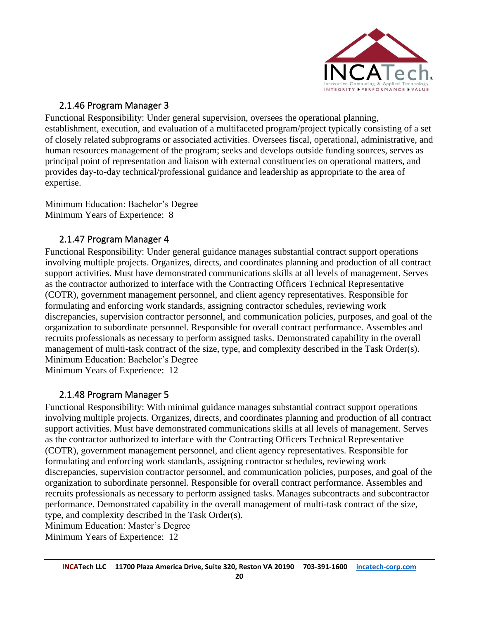

#### 2.1.46 Program Manager 3

<span id="page-19-0"></span>Functional Responsibility: Under general supervision, oversees the operational planning, establishment, execution, and evaluation of a multifaceted program/project typically consisting of a set of closely related subprograms or associated activities. Oversees fiscal, operational, administrative, and human resources management of the program; seeks and develops outside funding sources, serves as principal point of representation and liaison with external constituencies on operational matters, and provides day-to-day technical/professional guidance and leadership as appropriate to the area of expertise.

Minimum Education: Bachelor's Degree Minimum Years of Experience: 8

#### 2.1.47 Program Manager 4

<span id="page-19-1"></span>Functional Responsibility: Under general guidance manages substantial contract support operations involving multiple projects. Organizes, directs, and coordinates planning and production of all contract support activities. Must have demonstrated communications skills at all levels of management. Serves as the contractor authorized to interface with the Contracting Officers Technical Representative (COTR), government management personnel, and client agency representatives. Responsible for formulating and enforcing work standards, assigning contractor schedules, reviewing work discrepancies, supervision contractor personnel, and communication policies, purposes, and goal of the organization to subordinate personnel. Responsible for overall contract performance. Assembles and recruits professionals as necessary to perform assigned tasks. Demonstrated capability in the overall management of multi-task contract of the size, type, and complexity described in the Task Order(s). Minimum Education: Bachelor's Degree

Minimum Years of Experience: 12

#### 2.1.48 Program Manager 5

<span id="page-19-2"></span>Functional Responsibility: With minimal guidance manages substantial contract support operations involving multiple projects. Organizes, directs, and coordinates planning and production of all contract support activities. Must have demonstrated communications skills at all levels of management. Serves as the contractor authorized to interface with the Contracting Officers Technical Representative (COTR), government management personnel, and client agency representatives. Responsible for formulating and enforcing work standards, assigning contractor schedules, reviewing work discrepancies, supervision contractor personnel, and communication policies, purposes, and goal of the organization to subordinate personnel. Responsible for overall contract performance. Assembles and recruits professionals as necessary to perform assigned tasks. Manages subcontracts and subcontractor performance. Demonstrated capability in the overall management of multi-task contract of the size, type, and complexity described in the Task Order(s).

Minimum Education: Master's Degree

Minimum Years of Experience: 12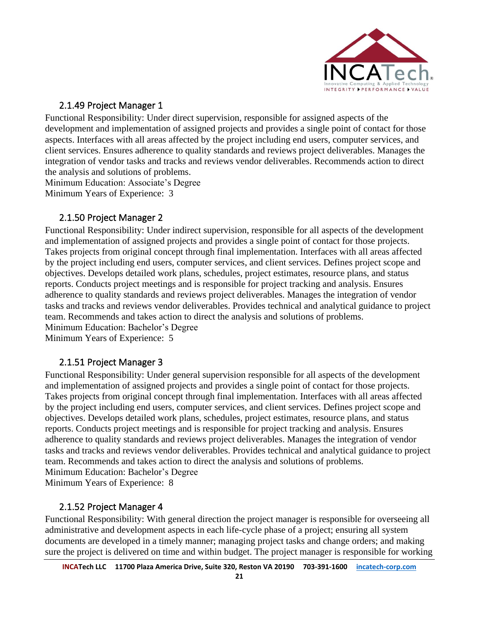

#### 2.1.49 Project Manager 1

<span id="page-20-0"></span>Functional Responsibility: Under direct supervision, responsible for assigned aspects of the development and implementation of assigned projects and provides a single point of contact for those aspects. Interfaces with all areas affected by the project including end users, computer services, and client services. Ensures adherence to quality standards and reviews project deliverables. Manages the integration of vendor tasks and tracks and reviews vendor deliverables. Recommends action to direct the analysis and solutions of problems.

Minimum Education: Associate's Degree Minimum Years of Experience: 3

#### 2.1.50 Project Manager 2

<span id="page-20-1"></span>Functional Responsibility: Under indirect supervision, responsible for all aspects of the development and implementation of assigned projects and provides a single point of contact for those projects. Takes projects from original concept through final implementation. Interfaces with all areas affected by the project including end users, computer services, and client services. Defines project scope and objectives. Develops detailed work plans, schedules, project estimates, resource plans, and status reports. Conducts project meetings and is responsible for project tracking and analysis. Ensures adherence to quality standards and reviews project deliverables. Manages the integration of vendor tasks and tracks and reviews vendor deliverables. Provides technical and analytical guidance to project team. Recommends and takes action to direct the analysis and solutions of problems. Minimum Education: Bachelor's Degree

Minimum Years of Experience: 5

#### 2.1.51 Project Manager 3

<span id="page-20-2"></span>Functional Responsibility: Under general supervision responsible for all aspects of the development and implementation of assigned projects and provides a single point of contact for those projects. Takes projects from original concept through final implementation. Interfaces with all areas affected by the project including end users, computer services, and client services. Defines project scope and objectives. Develops detailed work plans, schedules, project estimates, resource plans, and status reports. Conducts project meetings and is responsible for project tracking and analysis. Ensures adherence to quality standards and reviews project deliverables. Manages the integration of vendor tasks and tracks and reviews vendor deliverables. Provides technical and analytical guidance to project team. Recommends and takes action to direct the analysis and solutions of problems. Minimum Education: Bachelor's Degree

Minimum Years of Experience: 8

#### 2.1.52 Project Manager 4

<span id="page-20-3"></span>Functional Responsibility: With general direction the project manager is responsible for overseeing all administrative and development aspects in each life-cycle phase of a project; ensuring all system documents are developed in a timely manner; managing project tasks and change orders; and making sure the project is delivered on time and within budget. The project manager is responsible for working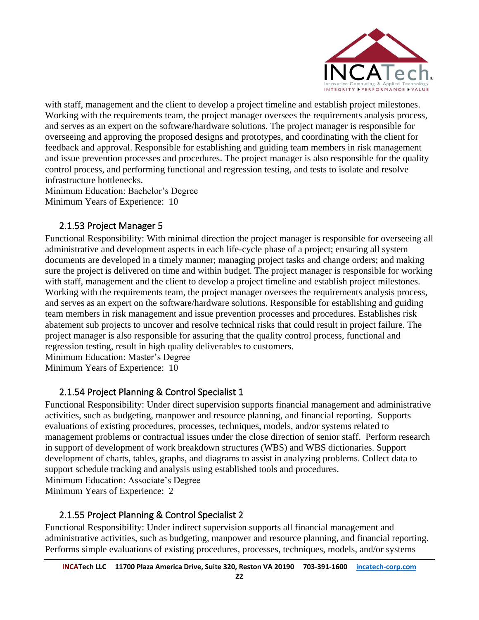

with staff, management and the client to develop a project timeline and establish project milestones. Working with the requirements team, the project manager oversees the requirements analysis process, and serves as an expert on the software/hardware solutions. The project manager is responsible for overseeing and approving the proposed designs and prototypes, and coordinating with the client for feedback and approval. Responsible for establishing and guiding team members in risk management and issue prevention processes and procedures. The project manager is also responsible for the quality control process, and performing functional and regression testing, and tests to isolate and resolve infrastructure bottlenecks.

Minimum Education: Bachelor's Degree Minimum Years of Experience: 10

#### 2.1.53 Project Manager 5

<span id="page-21-0"></span>Functional Responsibility: With minimal direction the project manager is responsible for overseeing all administrative and development aspects in each life-cycle phase of a project; ensuring all system documents are developed in a timely manner; managing project tasks and change orders; and making sure the project is delivered on time and within budget. The project manager is responsible for working with staff, management and the client to develop a project timeline and establish project milestones. Working with the requirements team, the project manager oversees the requirements analysis process, and serves as an expert on the software/hardware solutions. Responsible for establishing and guiding team members in risk management and issue prevention processes and procedures. Establishes risk abatement sub projects to uncover and resolve technical risks that could result in project failure. The project manager is also responsible for assuring that the quality control process, functional and regression testing, result in high quality deliverables to customers.

Minimum Education: Master's Degree

Minimum Years of Experience: 10

### 2.1.54 Project Planning & Control Specialist 1

<span id="page-21-1"></span>Functional Responsibility: Under direct supervision supports financial management and administrative activities, such as budgeting, manpower and resource planning, and financial reporting. Supports evaluations of existing procedures, processes, techniques, models, and/or systems related to management problems or contractual issues under the close direction of senior staff. Perform research in support of development of work breakdown structures (WBS) and WBS dictionaries. Support development of charts, tables, graphs, and diagrams to assist in analyzing problems. Collect data to support schedule tracking and analysis using established tools and procedures. Minimum Education: Associate's Degree

Minimum Years of Experience: 2

#### <span id="page-21-2"></span>2.1.55 Project Planning & Control Specialist 2

Functional Responsibility: Under indirect supervision supports all financial management and administrative activities, such as budgeting, manpower and resource planning, and financial reporting. Performs simple evaluations of existing procedures, processes, techniques, models, and/or systems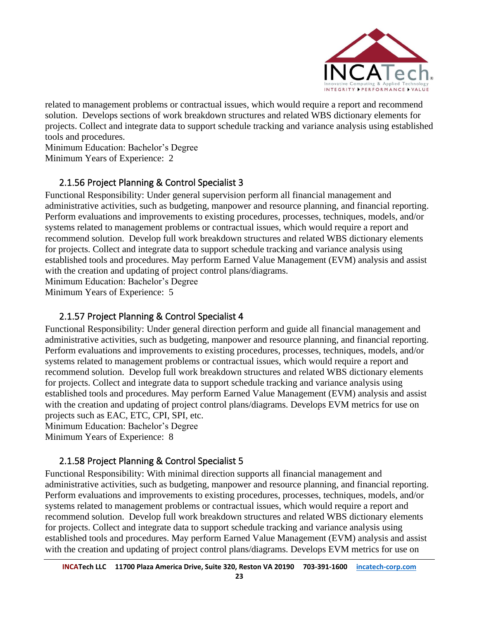

related to management problems or contractual issues, which would require a report and recommend solution. Develops sections of work breakdown structures and related WBS dictionary elements for projects. Collect and integrate data to support schedule tracking and variance analysis using established tools and procedures.

Minimum Education: Bachelor's Degree Minimum Years of Experience: 2

#### <span id="page-22-0"></span>2.1.56 Project Planning & Control Specialist 3

Functional Responsibility: Under general supervision perform all financial management and administrative activities, such as budgeting, manpower and resource planning, and financial reporting. Perform evaluations and improvements to existing procedures, processes, techniques, models, and/or systems related to management problems or contractual issues, which would require a report and recommend solution. Develop full work breakdown structures and related WBS dictionary elements for projects. Collect and integrate data to support schedule tracking and variance analysis using established tools and procedures. May perform Earned Value Management (EVM) analysis and assist with the creation and updating of project control plans/diagrams. Minimum Education: Bachelor's Degree

Minimum Years of Experience: 5

#### 2.1.57 Project Planning & Control Specialist 4

<span id="page-22-1"></span>Functional Responsibility: Under general direction perform and guide all financial management and administrative activities, such as budgeting, manpower and resource planning, and financial reporting. Perform evaluations and improvements to existing procedures, processes, techniques, models, and/or systems related to management problems or contractual issues, which would require a report and recommend solution. Develop full work breakdown structures and related WBS dictionary elements for projects. Collect and integrate data to support schedule tracking and variance analysis using established tools and procedures. May perform Earned Value Management (EVM) analysis and assist with the creation and updating of project control plans/diagrams. Develops EVM metrics for use on projects such as EAC, ETC, CPI, SPI, etc.

Minimum Education: Bachelor's Degree Minimum Years of Experience: 8

#### 2.1.58 Project Planning & Control Specialist 5

<span id="page-22-2"></span>Functional Responsibility: With minimal direction supports all financial management and administrative activities, such as budgeting, manpower and resource planning, and financial reporting. Perform evaluations and improvements to existing procedures, processes, techniques, models, and/or systems related to management problems or contractual issues, which would require a report and recommend solution. Develop full work breakdown structures and related WBS dictionary elements for projects. Collect and integrate data to support schedule tracking and variance analysis using established tools and procedures. May perform Earned Value Management (EVM) analysis and assist with the creation and updating of project control plans/diagrams. Develops EVM metrics for use on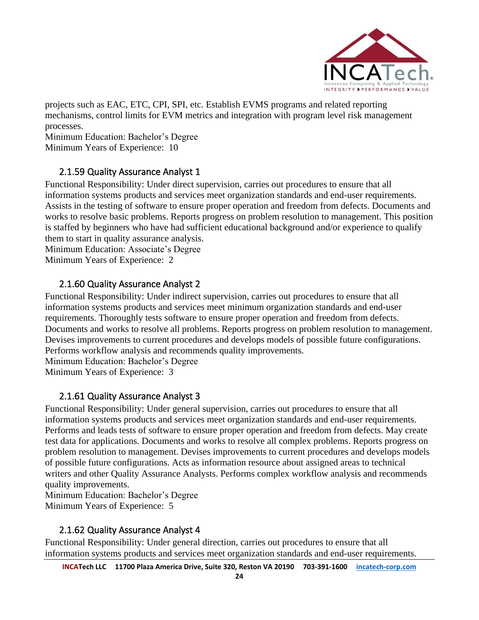

projects such as EAC, ETC, CPI, SPI, etc. Establish EVMS programs and related reporting mechanisms, control limits for EVM metrics and integration with program level risk management processes.

Minimum Education: Bachelor's Degree Minimum Years of Experience: 10

#### 2.1.59 Quality Assurance Analyst 1

<span id="page-23-0"></span>Functional Responsibility: Under direct supervision, carries out procedures to ensure that all information systems products and services meet organization standards and end-user requirements. Assists in the testing of software to ensure proper operation and freedom from defects. Documents and works to resolve basic problems. Reports progress on problem resolution to management. This position is staffed by beginners who have had sufficient educational background and/or experience to qualify them to start in quality assurance analysis.

Minimum Education: Associate's Degree Minimum Years of Experience: 2

#### 2.1.60 Quality Assurance Analyst 2

<span id="page-23-1"></span>Functional Responsibility: Under indirect supervision, carries out procedures to ensure that all information systems products and services meet minimum organization standards and end-user requirements. Thoroughly tests software to ensure proper operation and freedom from defects. Documents and works to resolve all problems. Reports progress on problem resolution to management. Devises improvements to current procedures and develops models of possible future configurations. Performs workflow analysis and recommends quality improvements.

Minimum Education: Bachelor's Degree

Minimum Years of Experience: 3

#### 2.1.61 Quality Assurance Analyst 3

<span id="page-23-2"></span>Functional Responsibility: Under general supervision, carries out procedures to ensure that all information systems products and services meet organization standards and end-user requirements. Performs and leads tests of software to ensure proper operation and freedom from defects. May create test data for applications. Documents and works to resolve all complex problems. Reports progress on problem resolution to management. Devises improvements to current procedures and develops models of possible future configurations. Acts as information resource about assigned areas to technical writers and other Quality Assurance Analysts. Performs complex workflow analysis and recommends quality improvements.

Minimum Education: Bachelor's Degree Minimum Years of Experience: 5

#### 2.1.62 Quality Assurance Analyst 4

<span id="page-23-3"></span>Functional Responsibility: Under general direction, carries out procedures to ensure that all information systems products and services meet organization standards and end-user requirements.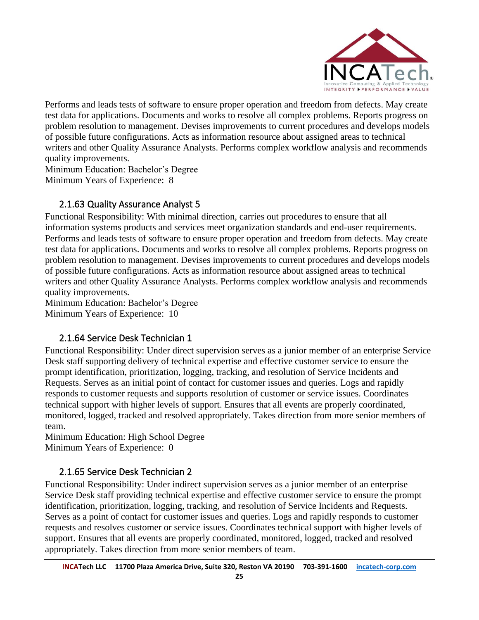

Performs and leads tests of software to ensure proper operation and freedom from defects. May create test data for applications. Documents and works to resolve all complex problems. Reports progress on problem resolution to management. Devises improvements to current procedures and develops models of possible future configurations. Acts as information resource about assigned areas to technical writers and other Quality Assurance Analysts. Performs complex workflow analysis and recommends quality improvements.

Minimum Education: Bachelor's Degree Minimum Years of Experience: 8

#### 2.1.63 Quality Assurance Analyst 5

<span id="page-24-0"></span>Functional Responsibility: With minimal direction, carries out procedures to ensure that all information systems products and services meet organization standards and end-user requirements. Performs and leads tests of software to ensure proper operation and freedom from defects. May create test data for applications. Documents and works to resolve all complex problems. Reports progress on problem resolution to management. Devises improvements to current procedures and develops models of possible future configurations. Acts as information resource about assigned areas to technical writers and other Quality Assurance Analysts. Performs complex workflow analysis and recommends quality improvements.

Minimum Education: Bachelor's Degree Minimum Years of Experience: 10

#### 2.1.64 Service Desk Technician 1

<span id="page-24-1"></span>Functional Responsibility: Under direct supervision serves as a junior member of an enterprise Service Desk staff supporting delivery of technical expertise and effective customer service to ensure the prompt identification, prioritization, logging, tracking, and resolution of Service Incidents and Requests. Serves as an initial point of contact for customer issues and queries. Logs and rapidly responds to customer requests and supports resolution of customer or service issues. Coordinates technical support with higher levels of support. Ensures that all events are properly coordinated, monitored, logged, tracked and resolved appropriately. Takes direction from more senior members of team.

Minimum Education: High School Degree Minimum Years of Experience: 0

#### <span id="page-24-2"></span>2.1.65 Service Desk Technician 2

Functional Responsibility: Under indirect supervision serves as a junior member of an enterprise Service Desk staff providing technical expertise and effective customer service to ensure the prompt identification, prioritization, logging, tracking, and resolution of Service Incidents and Requests. Serves as a point of contact for customer issues and queries. Logs and rapidly responds to customer requests and resolves customer or service issues. Coordinates technical support with higher levels of support. Ensures that all events are properly coordinated, monitored, logged, tracked and resolved appropriately. Takes direction from more senior members of team.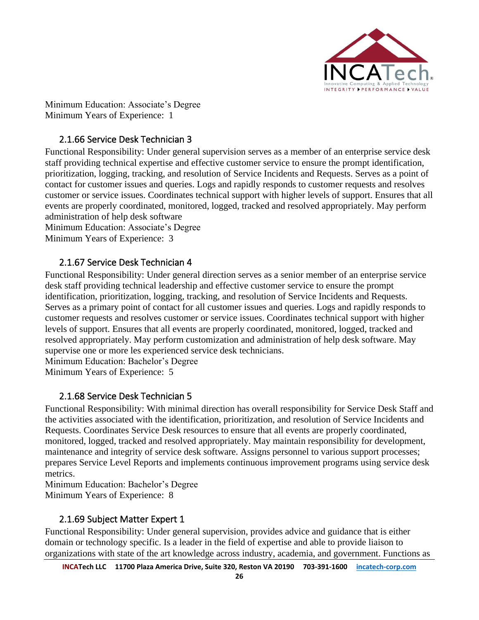

Minimum Education: Associate's Degree Minimum Years of Experience: 1

#### 2.1.66 Service Desk Technician 3

<span id="page-25-0"></span>Functional Responsibility: Under general supervision serves as a member of an enterprise service desk staff providing technical expertise and effective customer service to ensure the prompt identification, prioritization, logging, tracking, and resolution of Service Incidents and Requests. Serves as a point of contact for customer issues and queries. Logs and rapidly responds to customer requests and resolves customer or service issues. Coordinates technical support with higher levels of support. Ensures that all events are properly coordinated, monitored, logged, tracked and resolved appropriately. May perform administration of help desk software

Minimum Education: Associate's Degree Minimum Years of Experience: 3

#### <span id="page-25-1"></span>2.1.67 Service Desk Technician 4

Functional Responsibility: Under general direction serves as a senior member of an enterprise service desk staff providing technical leadership and effective customer service to ensure the prompt identification, prioritization, logging, tracking, and resolution of Service Incidents and Requests. Serves as a primary point of contact for all customer issues and queries. Logs and rapidly responds to customer requests and resolves customer or service issues. Coordinates technical support with higher levels of support. Ensures that all events are properly coordinated, monitored, logged, tracked and resolved appropriately. May perform customization and administration of help desk software. May supervise one or more les experienced service desk technicians.

Minimum Education: Bachelor's Degree Minimum Years of Experience: 5

#### 2.1.68 Service Desk Technician 5

<span id="page-25-2"></span>Functional Responsibility: With minimal direction has overall responsibility for Service Desk Staff and the activities associated with the identification, prioritization, and resolution of Service Incidents and Requests. Coordinates Service Desk resources to ensure that all events are properly coordinated, monitored, logged, tracked and resolved appropriately. May maintain responsibility for development, maintenance and integrity of service desk software. Assigns personnel to various support processes; prepares Service Level Reports and implements continuous improvement programs using service desk metrics.

Minimum Education: Bachelor's Degree Minimum Years of Experience: 8

#### 2.1.69 Subject Matter Expert 1

<span id="page-25-3"></span>Functional Responsibility: Under general supervision, provides advice and guidance that is either domain or technology specific. Is a leader in the field of expertise and able to provide liaison to organizations with state of the art knowledge across industry, academia, and government. Functions as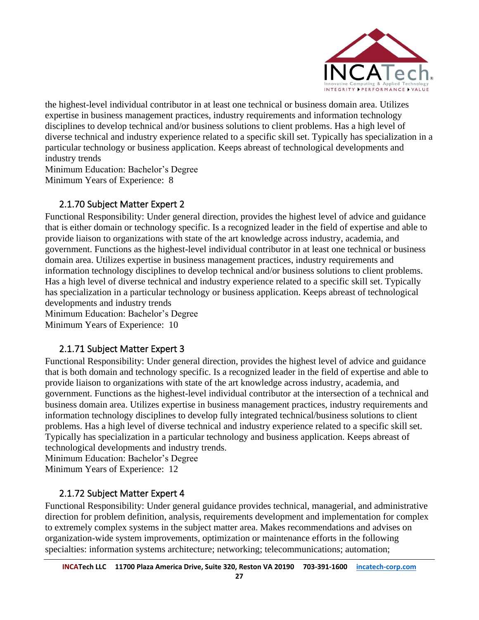

the highest-level individual contributor in at least one technical or business domain area. Utilizes expertise in business management practices, industry requirements and information technology disciplines to develop technical and/or business solutions to client problems. Has a high level of diverse technical and industry experience related to a specific skill set. Typically has specialization in a particular technology or business application. Keeps abreast of technological developments and industry trends

Minimum Education: Bachelor's Degree Minimum Years of Experience: 8

#### 2.1.70 Subject Matter Expert 2

<span id="page-26-0"></span>Functional Responsibility: Under general direction, provides the highest level of advice and guidance that is either domain or technology specific. Is a recognized leader in the field of expertise and able to provide liaison to organizations with state of the art knowledge across industry, academia, and government. Functions as the highest-level individual contributor in at least one technical or business domain area. Utilizes expertise in business management practices, industry requirements and information technology disciplines to develop technical and/or business solutions to client problems. Has a high level of diverse technical and industry experience related to a specific skill set. Typically has specialization in a particular technology or business application. Keeps abreast of technological developments and industry trends

Minimum Education: Bachelor's Degree Minimum Years of Experience: 10

#### 2.1.71 Subject Matter Expert 3

<span id="page-26-1"></span>Functional Responsibility: Under general direction, provides the highest level of advice and guidance that is both domain and technology specific. Is a recognized leader in the field of expertise and able to provide liaison to organizations with state of the art knowledge across industry, academia, and government. Functions as the highest-level individual contributor at the intersection of a technical and business domain area. Utilizes expertise in business management practices, industry requirements and information technology disciplines to develop fully integrated technical/business solutions to client problems. Has a high level of diverse technical and industry experience related to a specific skill set. Typically has specialization in a particular technology and business application. Keeps abreast of technological developments and industry trends.

Minimum Education: Bachelor's Degree Minimum Years of Experience: 12

#### 2.1.72 Subject Matter Expert 4

<span id="page-26-2"></span>Functional Responsibility: Under general guidance provides technical, managerial, and administrative direction for problem definition, analysis, requirements development and implementation for complex to extremely complex systems in the subject matter area. Makes recommendations and advises on organization-wide system improvements, optimization or maintenance efforts in the following specialties: information systems architecture; networking; telecommunications; automation;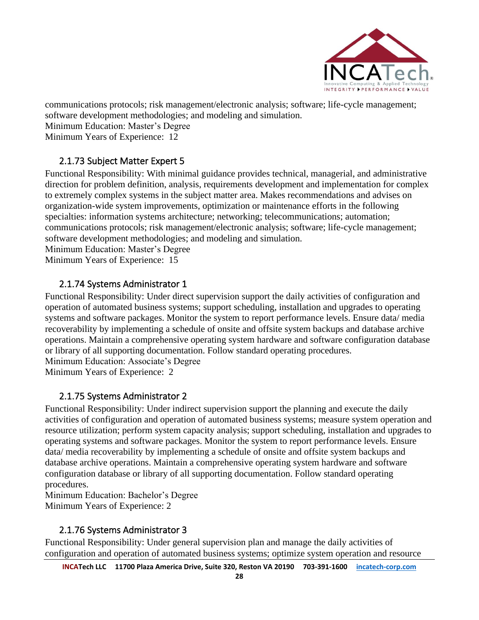

communications protocols; risk management/electronic analysis; software; life-cycle management;

software development methodologies; and modeling and simulation.

Minimum Education: Master's Degree

Minimum Years of Experience: 12

#### 2.1.73 Subject Matter Expert 5

<span id="page-27-0"></span>Functional Responsibility: With minimal guidance provides technical, managerial, and administrative direction for problem definition, analysis, requirements development and implementation for complex to extremely complex systems in the subject matter area. Makes recommendations and advises on organization-wide system improvements, optimization or maintenance efforts in the following specialties: information systems architecture; networking; telecommunications; automation; communications protocols; risk management/electronic analysis; software; life-cycle management; software development methodologies; and modeling and simulation.

Minimum Education: Master's Degree Minimum Years of Experience: 15

#### 2.1.74 Systems Administrator 1

<span id="page-27-1"></span>Functional Responsibility: Under direct supervision support the daily activities of configuration and operation of automated business systems; support scheduling, installation and upgrades to operating systems and software packages. Monitor the system to report performance levels. Ensure data/ media recoverability by implementing a schedule of onsite and offsite system backups and database archive operations. Maintain a comprehensive operating system hardware and software configuration database or library of all supporting documentation. Follow standard operating procedures.

Minimum Education: Associate's Degree

Minimum Years of Experience: 2

#### 2.1.75 Systems Administrator 2

<span id="page-27-2"></span>Functional Responsibility: Under indirect supervision support the planning and execute the daily activities of configuration and operation of automated business systems; measure system operation and resource utilization; perform system capacity analysis; support scheduling, installation and upgrades to operating systems and software packages. Monitor the system to report performance levels. Ensure data/ media recoverability by implementing a schedule of onsite and offsite system backups and database archive operations. Maintain a comprehensive operating system hardware and software configuration database or library of all supporting documentation. Follow standard operating procedures.

Minimum Education: Bachelor's Degree Minimum Years of Experience: 2

#### 2.1.76 Systems Administrator 3

<span id="page-27-3"></span>Functional Responsibility: Under general supervision plan and manage the daily activities of configuration and operation of automated business systems; optimize system operation and resource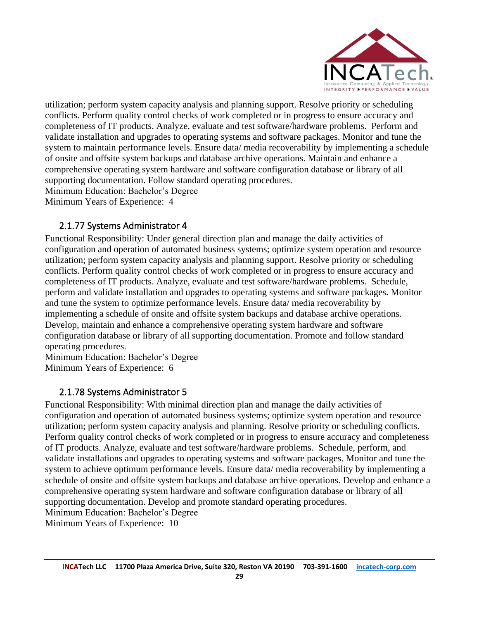

utilization; perform system capacity analysis and planning support. Resolve priority or scheduling conflicts. Perform quality control checks of work completed or in progress to ensure accuracy and completeness of IT products. Analyze, evaluate and test software/hardware problems. Perform and validate installation and upgrades to operating systems and software packages. Monitor and tune the system to maintain performance levels. Ensure data/ media recoverability by implementing a schedule of onsite and offsite system backups and database archive operations. Maintain and enhance a comprehensive operating system hardware and software configuration database or library of all supporting documentation. Follow standard operating procedures.

Minimum Education: Bachelor's Degree

Minimum Years of Experience: 4

#### <span id="page-28-0"></span>2.1.77 Systems Administrator 4

Functional Responsibility: Under general direction plan and manage the daily activities of configuration and operation of automated business systems; optimize system operation and resource utilization; perform system capacity analysis and planning support. Resolve priority or scheduling conflicts. Perform quality control checks of work completed or in progress to ensure accuracy and completeness of IT products. Analyze, evaluate and test software/hardware problems. Schedule, perform and validate installation and upgrades to operating systems and software packages. Monitor and tune the system to optimize performance levels. Ensure data/ media recoverability by implementing a schedule of onsite and offsite system backups and database archive operations. Develop, maintain and enhance a comprehensive operating system hardware and software configuration database or library of all supporting documentation. Promote and follow standard operating procedures.

Minimum Education: Bachelor's Degree Minimum Years of Experience: 6

#### 2.1.78 Systems Administrator 5

<span id="page-28-1"></span>Functional Responsibility: With minimal direction plan and manage the daily activities of configuration and operation of automated business systems; optimize system operation and resource utilization; perform system capacity analysis and planning. Resolve priority or scheduling conflicts. Perform quality control checks of work completed or in progress to ensure accuracy and completeness of IT products. Analyze, evaluate and test software/hardware problems. Schedule, perform, and validate installations and upgrades to operating systems and software packages. Monitor and tune the system to achieve optimum performance levels. Ensure data/ media recoverability by implementing a schedule of onsite and offsite system backups and database archive operations. Develop and enhance a comprehensive operating system hardware and software configuration database or library of all supporting documentation. Develop and promote standard operating procedures. Minimum Education: Bachelor's Degree

Minimum Years of Experience: 10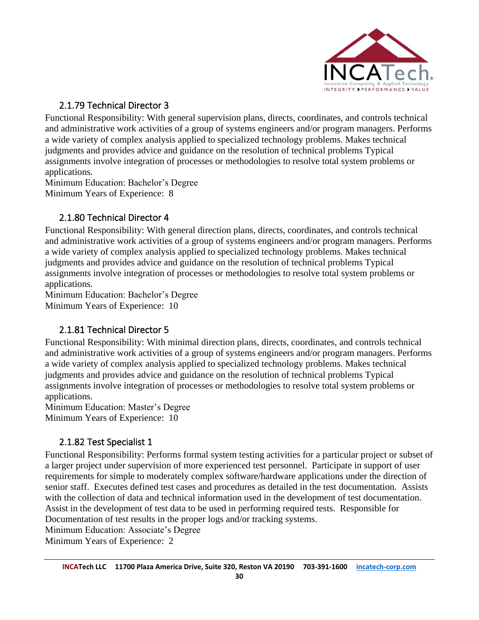

### 2.1.79 Technical Director 3

<span id="page-29-0"></span>Functional Responsibility: With general supervision plans, directs, coordinates, and controls technical and administrative work activities of a group of systems engineers and/or program managers. Performs a wide variety of complex analysis applied to specialized technology problems. Makes technical judgments and provides advice and guidance on the resolution of technical problems Typical assignments involve integration of processes or methodologies to resolve total system problems or applications.

Minimum Education: Bachelor's Degree Minimum Years of Experience: 8

### 2.1.80 Technical Director 4

<span id="page-29-1"></span>Functional Responsibility: With general direction plans, directs, coordinates, and controls technical and administrative work activities of a group of systems engineers and/or program managers. Performs a wide variety of complex analysis applied to specialized technology problems. Makes technical judgments and provides advice and guidance on the resolution of technical problems Typical assignments involve integration of processes or methodologies to resolve total system problems or applications.

Minimum Education: Bachelor's Degree Minimum Years of Experience: 10

### 2.1.81 Technical Director 5

<span id="page-29-2"></span>Functional Responsibility: With minimal direction plans, directs, coordinates, and controls technical and administrative work activities of a group of systems engineers and/or program managers. Performs a wide variety of complex analysis applied to specialized technology problems. Makes technical judgments and provides advice and guidance on the resolution of technical problems Typical assignments involve integration of processes or methodologies to resolve total system problems or applications.

Minimum Education: Master's Degree Minimum Years of Experience: 10

#### <span id="page-29-3"></span>2.1.82 Test Specialist 1

Functional Responsibility: Performs formal system testing activities for a particular project or subset of a larger project under supervision of more experienced test personnel. Participate in support of user requirements for simple to moderately complex software/hardware applications under the direction of senior staff. Executes defined test cases and procedures as detailed in the test documentation. Assists with the collection of data and technical information used in the development of test documentation. Assist in the development of test data to be used in performing required tests. Responsible for Documentation of test results in the proper logs and/or tracking systems.

Minimum Education: Associate's Degree Minimum Years of Experience: 2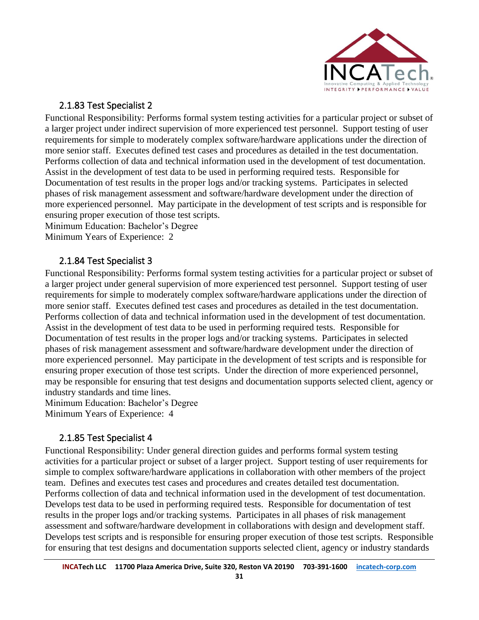

#### 2.1.83 Test Specialist 2

<span id="page-30-0"></span>Functional Responsibility: Performs formal system testing activities for a particular project or subset of a larger project under indirect supervision of more experienced test personnel. Support testing of user requirements for simple to moderately complex software/hardware applications under the direction of more senior staff. Executes defined test cases and procedures as detailed in the test documentation. Performs collection of data and technical information used in the development of test documentation. Assist in the development of test data to be used in performing required tests. Responsible for Documentation of test results in the proper logs and/or tracking systems. Participates in selected phases of risk management assessment and software/hardware development under the direction of more experienced personnel. May participate in the development of test scripts and is responsible for ensuring proper execution of those test scripts.

Minimum Education: Bachelor's Degree Minimum Years of Experience: 2

#### <span id="page-30-1"></span>2.1.84 Test Specialist 3

Functional Responsibility: Performs formal system testing activities for a particular project or subset of a larger project under general supervision of more experienced test personnel. Support testing of user requirements for simple to moderately complex software/hardware applications under the direction of more senior staff. Executes defined test cases and procedures as detailed in the test documentation. Performs collection of data and technical information used in the development of test documentation. Assist in the development of test data to be used in performing required tests. Responsible for Documentation of test results in the proper logs and/or tracking systems. Participates in selected phases of risk management assessment and software/hardware development under the direction of more experienced personnel. May participate in the development of test scripts and is responsible for ensuring proper execution of those test scripts. Under the direction of more experienced personnel, may be responsible for ensuring that test designs and documentation supports selected client, agency or industry standards and time lines.

Minimum Education: Bachelor's Degree Minimum Years of Experience: 4

#### 2.1.85 Test Specialist 4

<span id="page-30-2"></span>Functional Responsibility: Under general direction guides and performs formal system testing activities for a particular project or subset of a larger project. Support testing of user requirements for simple to complex software/hardware applications in collaboration with other members of the project team. Defines and executes test cases and procedures and creates detailed test documentation. Performs collection of data and technical information used in the development of test documentation. Develops test data to be used in performing required tests. Responsible for documentation of test results in the proper logs and/or tracking systems. Participates in all phases of risk management assessment and software/hardware development in collaborations with design and development staff. Develops test scripts and is responsible for ensuring proper execution of those test scripts. Responsible for ensuring that test designs and documentation supports selected client, agency or industry standards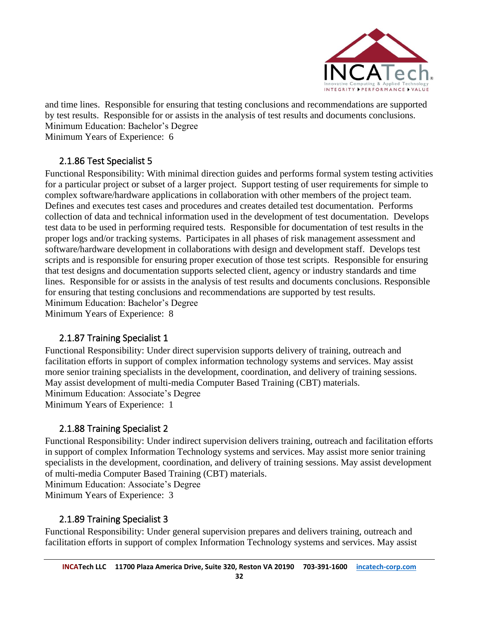

and time lines. Responsible for ensuring that testing conclusions and recommendations are supported by test results. Responsible for or assists in the analysis of test results and documents conclusions. Minimum Education: Bachelor's Degree

Minimum Years of Experience: 6

#### 2.1.86 Test Specialist 5

<span id="page-31-0"></span>Functional Responsibility: With minimal direction guides and performs formal system testing activities for a particular project or subset of a larger project. Support testing of user requirements for simple to complex software/hardware applications in collaboration with other members of the project team. Defines and executes test cases and procedures and creates detailed test documentation. Performs collection of data and technical information used in the development of test documentation. Develops test data to be used in performing required tests. Responsible for documentation of test results in the proper logs and/or tracking systems. Participates in all phases of risk management assessment and software/hardware development in collaborations with design and development staff. Develops test scripts and is responsible for ensuring proper execution of those test scripts. Responsible for ensuring that test designs and documentation supports selected client, agency or industry standards and time lines. Responsible for or assists in the analysis of test results and documents conclusions. Responsible for ensuring that testing conclusions and recommendations are supported by test results. Minimum Education: Bachelor's Degree Minimum Years of Experience: 8

#### 2.1.87 Training Specialist 1

<span id="page-31-1"></span>Functional Responsibility: Under direct supervision supports delivery of training, outreach and facilitation efforts in support of complex information technology systems and services. May assist more senior training specialists in the development, coordination, and delivery of training sessions. May assist development of multi-media Computer Based Training (CBT) materials. Minimum Education: Associate's Degree Minimum Years of Experience: 1

#### <span id="page-31-2"></span>2.1.88 Training Specialist 2

Functional Responsibility: Under indirect supervision delivers training, outreach and facilitation efforts in support of complex Information Technology systems and services. May assist more senior training specialists in the development, coordination, and delivery of training sessions. May assist development of multi-media Computer Based Training (CBT) materials.

Minimum Education: Associate's Degree

Minimum Years of Experience: 3

#### <span id="page-31-3"></span>2.1.89 Training Specialist 3

Functional Responsibility: Under general supervision prepares and delivers training, outreach and facilitation efforts in support of complex Information Technology systems and services. May assist

**32**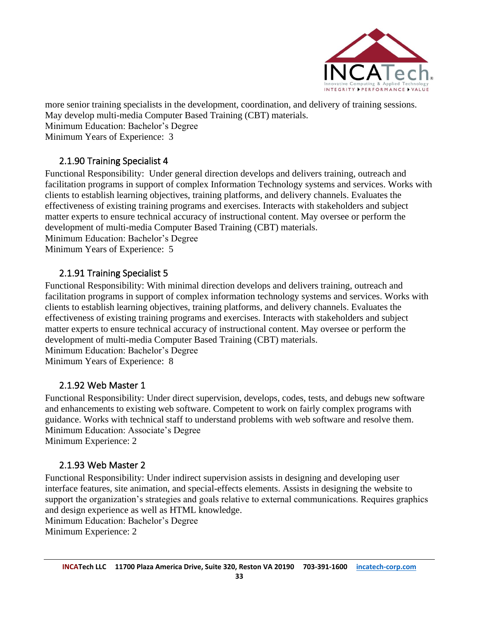

more senior training specialists in the development, coordination, and delivery of training sessions.

May develop multi-media Computer Based Training (CBT) materials.

Minimum Education: Bachelor's Degree

Minimum Years of Experience: 3

### 2.1.90 Training Specialist 4

<span id="page-32-0"></span>Functional Responsibility: Under general direction develops and delivers training, outreach and facilitation programs in support of complex Information Technology systems and services. Works with clients to establish learning objectives, training platforms, and delivery channels. Evaluates the effectiveness of existing training programs and exercises. Interacts with stakeholders and subject matter experts to ensure technical accuracy of instructional content. May oversee or perform the development of multi-media Computer Based Training (CBT) materials.

Minimum Education: Bachelor's Degree

Minimum Years of Experience: 5

#### 2.1.91 Training Specialist 5

<span id="page-32-1"></span>Functional Responsibility: With minimal direction develops and delivers training, outreach and facilitation programs in support of complex information technology systems and services. Works with clients to establish learning objectives, training platforms, and delivery channels. Evaluates the effectiveness of existing training programs and exercises. Interacts with stakeholders and subject matter experts to ensure technical accuracy of instructional content. May oversee or perform the development of multi-media Computer Based Training (CBT) materials. Minimum Education: Bachelor's Degree Minimum Years of Experience: 8

#### 2.1.92 Web Master 1

<span id="page-32-2"></span>Functional Responsibility: Under direct supervision, develops, codes, tests, and debugs new software and enhancements to existing web software. Competent to work on fairly complex programs with guidance. Works with technical staff to understand problems with web software and resolve them. Minimum Education: Associate's Degree Minimum Experience: 2

#### <span id="page-32-3"></span>2.1.93 Web Master 2

Functional Responsibility: Under indirect supervision assists in designing and developing user interface features, site animation, and special-effects elements. Assists in designing the website to support the organization's strategies and goals relative to external communications. Requires graphics and design experience as well as HTML knowledge.

Minimum Education: Bachelor's Degree Minimum Experience: 2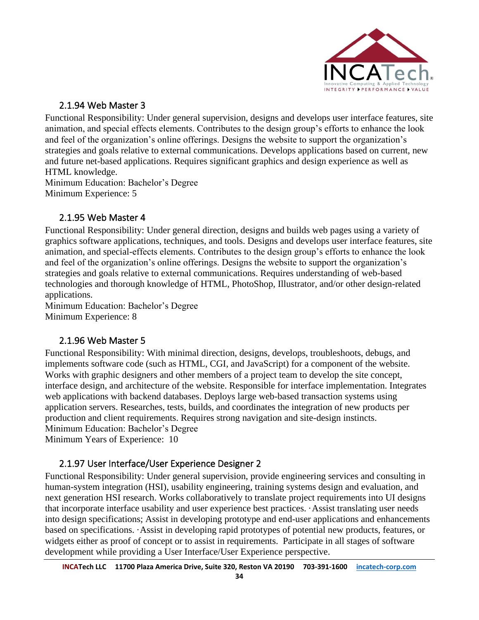

#### 2.1.94 Web Master 3

<span id="page-33-0"></span>Functional Responsibility: Under general supervision, designs and develops user interface features, site animation, and special effects elements. Contributes to the design group's efforts to enhance the look and feel of the organization's online offerings. Designs the website to support the organization's strategies and goals relative to external communications. Develops applications based on current, new and future net-based applications. Requires significant graphics and design experience as well as HTML knowledge.

Minimum Education: Bachelor's Degree Minimum Experience: 5

#### 2.1.95 Web Master 4

<span id="page-33-1"></span>Functional Responsibility: Under general direction, designs and builds web pages using a variety of graphics software applications, techniques, and tools. Designs and develops user interface features, site animation, and special-effects elements. Contributes to the design group's efforts to enhance the look and feel of the organization's online offerings. Designs the website to support the organization's strategies and goals relative to external communications. Requires understanding of web-based technologies and thorough knowledge of HTML, PhotoShop, Illustrator, and/or other design-related applications.

Minimum Education: Bachelor's Degree Minimum Experience: 8

#### 2.1.96 Web Master 5

<span id="page-33-2"></span>Functional Responsibility: With minimal direction, designs, develops, troubleshoots, debugs, and implements software code (such as HTML, CGI, and JavaScript) for a component of the website. Works with graphic designers and other members of a project team to develop the site concept, interface design, and architecture of the website. Responsible for interface implementation. Integrates web applications with backend databases. Deploys large web-based transaction systems using application servers. Researches, tests, builds, and coordinates the integration of new products per production and client requirements. Requires strong navigation and site-design instincts. Minimum Education: Bachelor's Degree Minimum Years of Experience: 10

#### 2.1.97 User Interface/User Experience Designer 2

<span id="page-33-3"></span>Functional Responsibility: Under general supervision, provide engineering services and consulting in human-system integration (HSI), usability engineering, training systems design and evaluation, and next generation HSI research. Works collaboratively to translate project requirements into UI designs that incorporate interface usability and user experience best practices. ·Assist translating user needs into design specifications; Assist in developing prototype and end-user applications and enhancements based on specifications. ·Assist in developing rapid prototypes of potential new products, features, or widgets either as proof of concept or to assist in requirements. Participate in all stages of software development while providing a User Interface/User Experience perspective.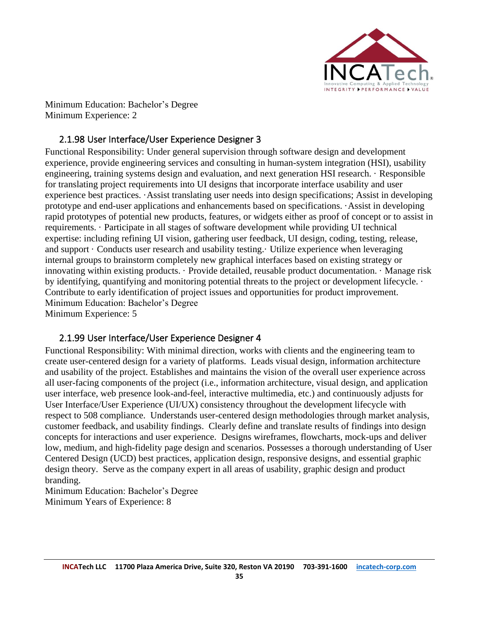

Minimum Education: Bachelor's Degree Minimum Experience: 2

#### 2.1.98 User Interface/User Experience Designer 3

<span id="page-34-0"></span>Functional Responsibility: Under general supervision through software design and development experience, provide engineering services and consulting in human-system integration (HSI), usability engineering, training systems design and evaluation, and next generation HSI research. · Responsible for translating project requirements into UI designs that incorporate interface usability and user experience best practices. ·Assist translating user needs into design specifications; Assist in developing prototype and end-user applications and enhancements based on specifications. ·Assist in developing rapid prototypes of potential new products, features, or widgets either as proof of concept or to assist in requirements. · Participate in all stages of software development while providing UI technical expertise: including refining UI vision, gathering user feedback, UI design, coding, testing, release, and support · Conducts user research and usability testing.· Utilize experience when leveraging internal groups to brainstorm completely new graphical interfaces based on existing strategy or innovating within existing products. · Provide detailed, reusable product documentation. · Manage risk by identifying, quantifying and monitoring potential threats to the project or development lifecycle. · Contribute to early identification of project issues and opportunities for product improvement. Minimum Education: Bachelor's Degree Minimum Experience: 5

#### 2.1.99 User Interface/User Experience Designer 4

<span id="page-34-1"></span>Functional Responsibility: With minimal direction, works with clients and the engineering team to create user-centered design for a variety of platforms. Leads visual design, information architecture and usability of the project. Establishes and maintains the vision of the overall user experience across all user-facing components of the project (i.e., information architecture, visual design, and application user interface, web presence look-and-feel, interactive multimedia, etc.) and continuously adjusts for User Interface/User Experience (UI/UX) consistency throughout the development lifecycle with respect to 508 compliance. Understands user-centered design methodologies through market analysis, customer feedback, and usability findings. Clearly define and translate results of findings into design concepts for interactions and user experience. Designs wireframes, flowcharts, mock-ups and deliver low, medium, and high-fidelity page design and scenarios. Possesses a thorough understanding of User Centered Design (UCD) best practices, application design, responsive designs, and essential graphic design theory. Serve as the company expert in all areas of usability, graphic design and product branding.

Minimum Education: Bachelor's Degree Minimum Years of Experience: 8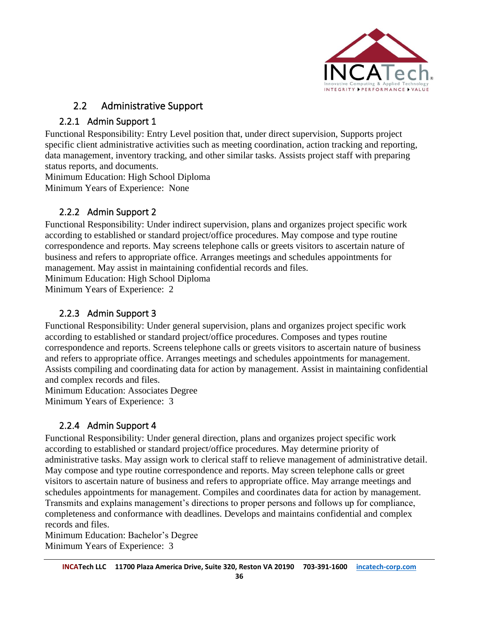

### 2.2 Administrative Support

### <span id="page-35-0"></span>2.2.1 Admin Support 1

<span id="page-35-1"></span>Functional Responsibility: Entry Level position that, under direct supervision, Supports project specific client administrative activities such as meeting coordination, action tracking and reporting, data management, inventory tracking, and other similar tasks. Assists project staff with preparing status reports, and documents.

Minimum Education: High School Diploma

Minimum Years of Experience: None

### <span id="page-35-2"></span>2.2.2 Admin Support 2

Functional Responsibility: Under indirect supervision, plans and organizes project specific work according to established or standard project/office procedures. May compose and type routine correspondence and reports. May screens telephone calls or greets visitors to ascertain nature of business and refers to appropriate office. Arranges meetings and schedules appointments for management. May assist in maintaining confidential records and files.

Minimum Education: High School Diploma

Minimum Years of Experience: 2

### 2.2.3 Admin Support 3

<span id="page-35-3"></span>Functional Responsibility: Under general supervision, plans and organizes project specific work according to established or standard project/office procedures. Composes and types routine correspondence and reports. Screens telephone calls or greets visitors to ascertain nature of business and refers to appropriate office. Arranges meetings and schedules appointments for management. Assists compiling and coordinating data for action by management. Assist in maintaining confidential and complex records and files.

Minimum Education: Associates Degree Minimum Years of Experience: 3

#### 2.2.4 Admin Support 4

<span id="page-35-4"></span>Functional Responsibility: Under general direction, plans and organizes project specific work according to established or standard project/office procedures. May determine priority of administrative tasks. May assign work to clerical staff to relieve management of administrative detail. May compose and type routine correspondence and reports. May screen telephone calls or greet visitors to ascertain nature of business and refers to appropriate office. May arrange meetings and schedules appointments for management. Compiles and coordinates data for action by management. Transmits and explains management's directions to proper persons and follows up for compliance, completeness and conformance with deadlines. Develops and maintains confidential and complex records and files.

Minimum Education: Bachelor's Degree Minimum Years of Experience: 3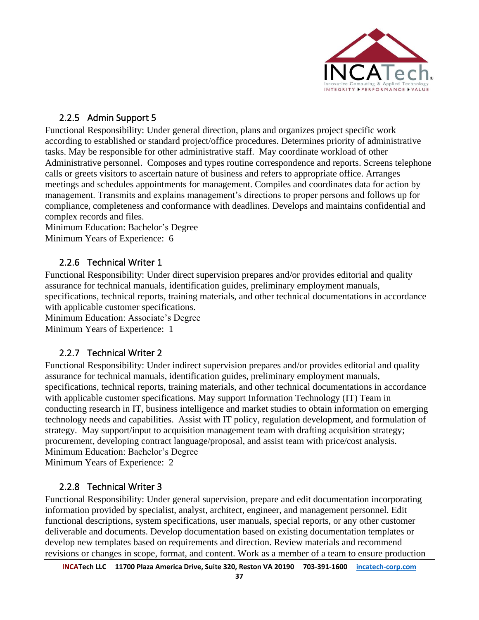

#### <span id="page-36-0"></span>2.2.5 Admin Support 5

Functional Responsibility: Under general direction, plans and organizes project specific work according to established or standard project/office procedures. Determines priority of administrative tasks. May be responsible for other administrative staff. May coordinate workload of other Administrative personnel. Composes and types routine correspondence and reports. Screens telephone calls or greets visitors to ascertain nature of business and refers to appropriate office. Arranges meetings and schedules appointments for management. Compiles and coordinates data for action by management. Transmits and explains management's directions to proper persons and follows up for compliance, completeness and conformance with deadlines. Develops and maintains confidential and complex records and files.

Minimum Education: Bachelor's Degree Minimum Years of Experience: 6

#### <span id="page-36-1"></span>2.2.6 Technical Writer 1

Functional Responsibility: Under direct supervision prepares and/or provides editorial and quality assurance for technical manuals, identification guides, preliminary employment manuals, specifications, technical reports, training materials, and other technical documentations in accordance with applicable customer specifications. Minimum Education: Associate's Degree Minimum Years of Experience: 1

#### 2.2.7 Technical Writer 2

<span id="page-36-2"></span>Functional Responsibility: Under indirect supervision prepares and/or provides editorial and quality assurance for technical manuals, identification guides, preliminary employment manuals, specifications, technical reports, training materials, and other technical documentations in accordance with applicable customer specifications. May support Information Technology (IT) Team in conducting research in IT, business intelligence and market studies to obtain information on emerging technology needs and capabilities. Assist with IT policy, regulation development, and formulation of strategy. May support/input to acquisition management team with drafting acquisition strategy; procurement, developing contract language/proposal, and assist team with price/cost analysis. Minimum Education: Bachelor's Degree Minimum Years of Experience: 2

#### <span id="page-36-3"></span>2.2.8 Technical Writer 3

Functional Responsibility: Under general supervision, prepare and edit documentation incorporating information provided by specialist, analyst, architect, engineer, and management personnel. Edit functional descriptions, system specifications, user manuals, special reports, or any other customer deliverable and documents. Develop documentation based on existing documentation templates or develop new templates based on requirements and direction. Review materials and recommend revisions or changes in scope, format, and content. Work as a member of a team to ensure production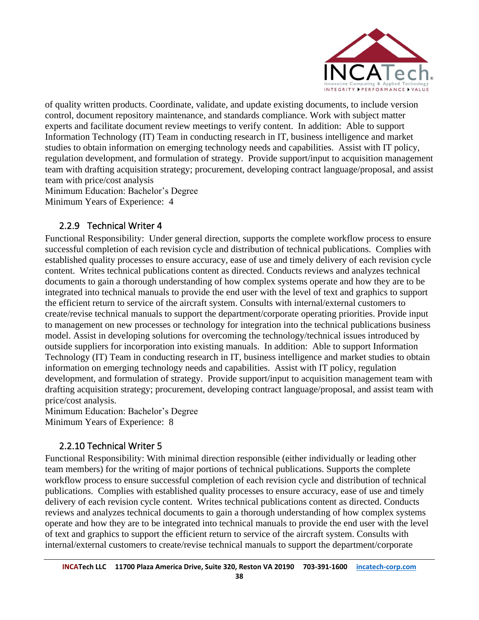

of quality written products. Coordinate, validate, and update existing documents, to include version control, document repository maintenance, and standards compliance. Work with subject matter experts and facilitate document review meetings to verify content. In addition: Able to support Information Technology (IT) Team in conducting research in IT, business intelligence and market studies to obtain information on emerging technology needs and capabilities. Assist with IT policy, regulation development, and formulation of strategy. Provide support/input to acquisition management team with drafting acquisition strategy; procurement, developing contract language/proposal, and assist team with price/cost analysis

Minimum Education: Bachelor's Degree

Minimum Years of Experience: 4

#### 2.2.9 Technical Writer 4

<span id="page-37-0"></span>Functional Responsibility: Under general direction, supports the complete workflow process to ensure successful completion of each revision cycle and distribution of technical publications. Complies with established quality processes to ensure accuracy, ease of use and timely delivery of each revision cycle content. Writes technical publications content as directed. Conducts reviews and analyzes technical documents to gain a thorough understanding of how complex systems operate and how they are to be integrated into technical manuals to provide the end user with the level of text and graphics to support the efficient return to service of the aircraft system. Consults with internal/external customers to create/revise technical manuals to support the department/corporate operating priorities. Provide input to management on new processes or technology for integration into the technical publications business model. Assist in developing solutions for overcoming the technology/technical issues introduced by outside suppliers for incorporation into existing manuals. In addition: Able to support Information Technology (IT) Team in conducting research in IT, business intelligence and market studies to obtain information on emerging technology needs and capabilities. Assist with IT policy, regulation development, and formulation of strategy. Provide support/input to acquisition management team with drafting acquisition strategy; procurement, developing contract language/proposal, and assist team with price/cost analysis.

Minimum Education: Bachelor's Degree Minimum Years of Experience: 8

### 2.2.10 Technical Writer 5

<span id="page-37-1"></span>Functional Responsibility: With minimal direction responsible (either individually or leading other team members) for the writing of major portions of technical publications. Supports the complete workflow process to ensure successful completion of each revision cycle and distribution of technical publications. Complies with established quality processes to ensure accuracy, ease of use and timely delivery of each revision cycle content. Writes technical publications content as directed. Conducts reviews and analyzes technical documents to gain a thorough understanding of how complex systems operate and how they are to be integrated into technical manuals to provide the end user with the level of text and graphics to support the efficient return to service of the aircraft system. Consults with internal/external customers to create/revise technical manuals to support the department/corporate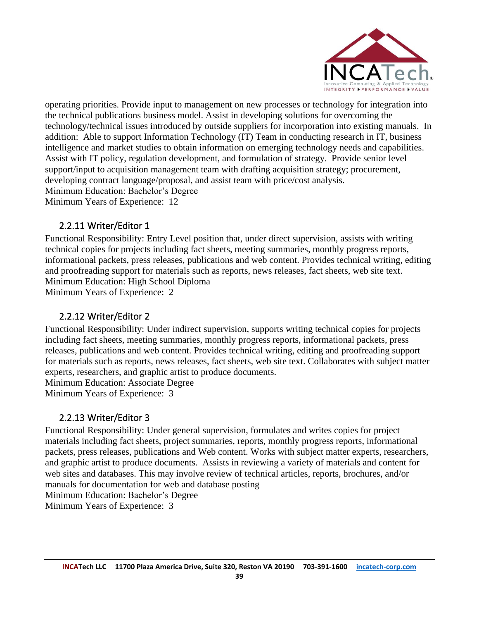

operating priorities. Provide input to management on new processes or technology for integration into the technical publications business model. Assist in developing solutions for overcoming the technology/technical issues introduced by outside suppliers for incorporation into existing manuals. In addition: Able to support Information Technology (IT) Team in conducting research in IT, business intelligence and market studies to obtain information on emerging technology needs and capabilities. Assist with IT policy, regulation development, and formulation of strategy. Provide senior level support/input to acquisition management team with drafting acquisition strategy; procurement, developing contract language/proposal, and assist team with price/cost analysis. Minimum Education: Bachelor's Degree Minimum Years of Experience: 12

#### <span id="page-38-0"></span>2.2.11 Writer/Editor 1

Functional Responsibility: Entry Level position that, under direct supervision, assists with writing technical copies for projects including fact sheets, meeting summaries, monthly progress reports, informational packets, press releases, publications and web content. Provides technical writing, editing and proofreading support for materials such as reports, news releases, fact sheets, web site text. Minimum Education: High School Diploma

Minimum Years of Experience: 2

#### 2.2.12 Writer/Editor 2

<span id="page-38-1"></span>Functional Responsibility: Under indirect supervision, supports writing technical copies for projects including fact sheets, meeting summaries, monthly progress reports, informational packets, press releases, publications and web content. Provides technical writing, editing and proofreading support for materials such as reports, news releases, fact sheets, web site text. Collaborates with subject matter experts, researchers, and graphic artist to produce documents.

Minimum Education: Associate Degree

Minimum Years of Experience: 3

#### 2.2.13 Writer/Editor 3

<span id="page-38-2"></span>Functional Responsibility: Under general supervision, formulates and writes copies for project materials including fact sheets, project summaries, reports, monthly progress reports, informational packets, press releases, publications and Web content. Works with subject matter experts, researchers, and graphic artist to produce documents. Assists in reviewing a variety of materials and content for web sites and databases. This may involve review of technical articles, reports, brochures, and/or manuals for documentation for web and database posting

Minimum Education: Bachelor's Degree

Minimum Years of Experience: 3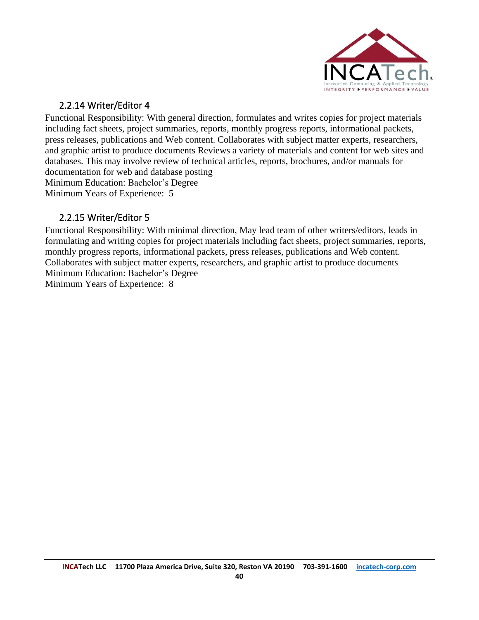

#### 2.2.14 Writer/Editor 4

<span id="page-39-0"></span>Functional Responsibility: With general direction, formulates and writes copies for project materials including fact sheets, project summaries, reports, monthly progress reports, informational packets, press releases, publications and Web content. Collaborates with subject matter experts, researchers, and graphic artist to produce documents Reviews a variety of materials and content for web sites and databases. This may involve review of technical articles, reports, brochures, and/or manuals for documentation for web and database posting Minimum Education: Bachelor's Degree Minimum Years of Experience: 5

#### 2.2.15 Writer/Editor 5

<span id="page-39-2"></span><span id="page-39-1"></span>Functional Responsibility: With minimal direction, May lead team of other writers/editors, leads in formulating and writing copies for project materials including fact sheets, project summaries, reports, monthly progress reports, informational packets, press releases, publications and Web content. Collaborates with subject matter experts, researchers, and graphic artist to produce documents Minimum Education: Bachelor's Degree Minimum Years of Experience: 8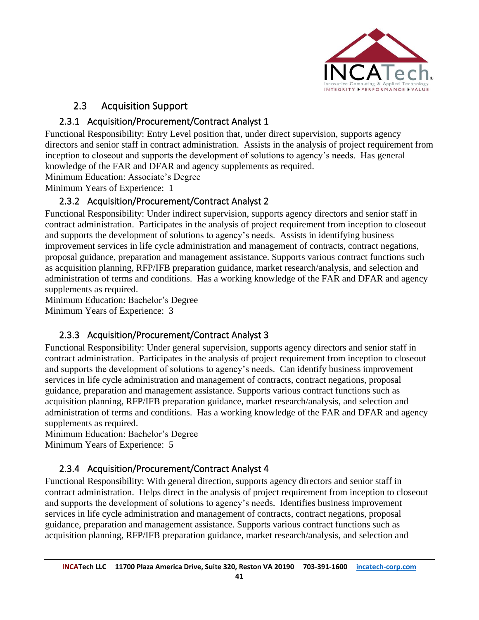

### 2.3 Acquisition Support

### 2.3.1 Acquisition/Procurement/Contract Analyst 1

<span id="page-40-0"></span>Functional Responsibility: Entry Level position that, under direct supervision, supports agency directors and senior staff in contract administration. Assists in the analysis of project requirement from inception to closeout and supports the development of solutions to agency's needs. Has general knowledge of the FAR and DFAR and agency supplements as required.

Minimum Education: Associate's Degree

<span id="page-40-1"></span>Minimum Years of Experience: 1

### 2.3.2 Acquisition/Procurement/Contract Analyst 2

Functional Responsibility: Under indirect supervision, supports agency directors and senior staff in contract administration. Participates in the analysis of project requirement from inception to closeout and supports the development of solutions to agency's needs. Assists in identifying business improvement services in life cycle administration and management of contracts, contract negations, proposal guidance, preparation and management assistance. Supports various contract functions such as acquisition planning, RFP/IFB preparation guidance, market research/analysis, and selection and administration of terms and conditions. Has a working knowledge of the FAR and DFAR and agency supplements as required.

Minimum Education: Bachelor's Degree Minimum Years of Experience: 3

#### 2.3.3 Acquisition/Procurement/Contract Analyst 3

<span id="page-40-2"></span>Functional Responsibility: Under general supervision, supports agency directors and senior staff in contract administration. Participates in the analysis of project requirement from inception to closeout and supports the development of solutions to agency's needs. Can identify business improvement services in life cycle administration and management of contracts, contract negations, proposal guidance, preparation and management assistance. Supports various contract functions such as acquisition planning, RFP/IFB preparation guidance, market research/analysis, and selection and administration of terms and conditions. Has a working knowledge of the FAR and DFAR and agency supplements as required.

Minimum Education: Bachelor's Degree Minimum Years of Experience: 5

### <span id="page-40-3"></span>2.3.4 Acquisition/Procurement/Contract Analyst 4

Functional Responsibility: With general direction, supports agency directors and senior staff in contract administration. Helps direct in the analysis of project requirement from inception to closeout and supports the development of solutions to agency's needs. Identifies business improvement services in life cycle administration and management of contracts, contract negations, proposal guidance, preparation and management assistance. Supports various contract functions such as acquisition planning, RFP/IFB preparation guidance, market research/analysis, and selection and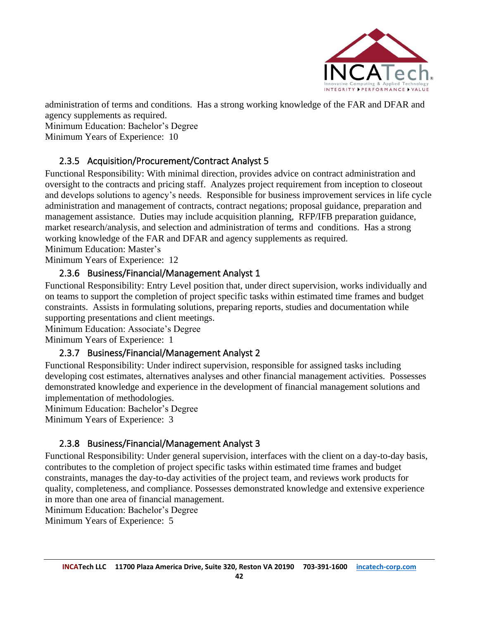

administration of terms and conditions. Has a strong working knowledge of the FAR and DFAR and agency supplements as required.

Minimum Education: Bachelor's Degree

Minimum Years of Experience: 10

### 2.3.5 Acquisition/Procurement/Contract Analyst 5

<span id="page-41-0"></span>Functional Responsibility: With minimal direction, provides advice on contract administration and oversight to the contracts and pricing staff. Analyzes project requirement from inception to closeout and develops solutions to agency's needs. Responsible for business improvement services in life cycle administration and management of contracts, contract negations; proposal guidance, preparation and management assistance. Duties may include acquisition planning, RFP/IFB preparation guidance, market research/analysis, and selection and administration of terms and conditions. Has a strong working knowledge of the FAR and DFAR and agency supplements as required.

Minimum Education: Master's

<span id="page-41-1"></span>Minimum Years of Experience: 12

#### 2.3.6 Business/Financial/Management Analyst 1

Functional Responsibility: Entry Level position that, under direct supervision, works individually and on teams to support the completion of project specific tasks within estimated time frames and budget constraints. Assists in formulating solutions, preparing reports, studies and documentation while supporting presentations and client meetings.

Minimum Education: Associate's Degree

<span id="page-41-2"></span>Minimum Years of Experience: 1

#### 2.3.7 Business/Financial/Management Analyst 2

Functional Responsibility: Under indirect supervision, responsible for assigned tasks including developing cost estimates, alternatives analyses and other financial management activities. Possesses demonstrated knowledge and experience in the development of financial management solutions and implementation of methodologies.

Minimum Education: Bachelor's Degree

Minimum Years of Experience: 3

#### 2.3.8 Business/Financial/Management Analyst 3

<span id="page-41-3"></span>Functional Responsibility: Under general supervision, interfaces with the client on a day-to-day basis, contributes to the completion of project specific tasks within estimated time frames and budget constraints, manages the day-to-day activities of the project team, and reviews work products for quality, completeness, and compliance. Possesses demonstrated knowledge and extensive experience in more than one area of financial management.

Minimum Education: Bachelor's Degree

Minimum Years of Experience: 5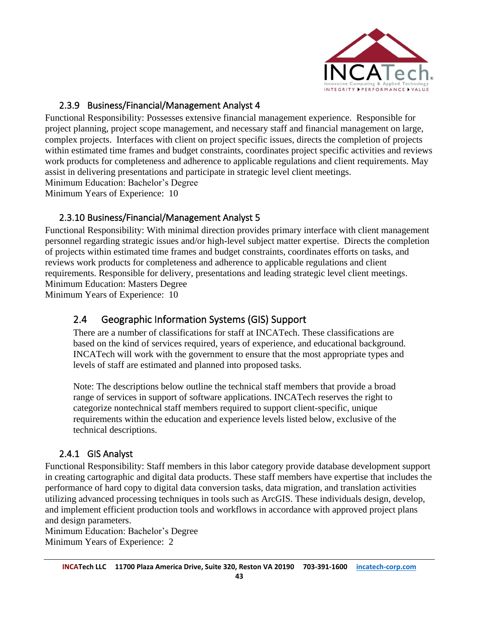

#### 2.3.9 Business/Financial/Management Analyst 4

<span id="page-42-0"></span>Functional Responsibility: Possesses extensive financial management experience. Responsible for project planning, project scope management, and necessary staff and financial management on large, complex projects. Interfaces with client on project specific issues, directs the completion of projects within estimated time frames and budget constraints, coordinates project specific activities and reviews work products for completeness and adherence to applicable regulations and client requirements. May assist in delivering presentations and participate in strategic level client meetings. Minimum Education: Bachelor's Degree Minimum Years of Experience: 10

#### 2.3.10 Business/Financial/Management Analyst 5

<span id="page-42-1"></span>Functional Responsibility: With minimal direction provides primary interface with client management personnel regarding strategic issues and/or high-level subject matter expertise. Directs the completion of projects within estimated time frames and budget constraints, coordinates efforts on tasks, and reviews work products for completeness and adherence to applicable regulations and client requirements. Responsible for delivery, presentations and leading strategic level client meetings. Minimum Education: Masters Degree

<span id="page-42-2"></span>Minimum Years of Experience: 10

### 2.4 Geographic Information Systems (GIS) Support

There are a number of classifications for staff at INCATech. These classifications are based on the kind of services required, years of experience, and educational background. INCATech will work with the government to ensure that the most appropriate types and levels of staff are estimated and planned into proposed tasks.

Note: The descriptions below outline the technical staff members that provide a broad range of services in support of software applications. INCATech reserves the right to categorize nontechnical staff members required to support client-specific, unique requirements within the education and experience levels listed below, exclusive of the technical descriptions.

#### 2.4.1 GIS Analyst

<span id="page-42-3"></span>Functional Responsibility: Staff members in this labor category provide database development support in creating cartographic and digital data products. These staff members have expertise that includes the performance of hard copy to digital data conversion tasks, data migration, and translation activities utilizing advanced processing techniques in tools such as ArcGIS. These individuals design, develop, and implement efficient production tools and workflows in accordance with approved project plans and design parameters.

Minimum Education: Bachelor's Degree Minimum Years of Experience: 2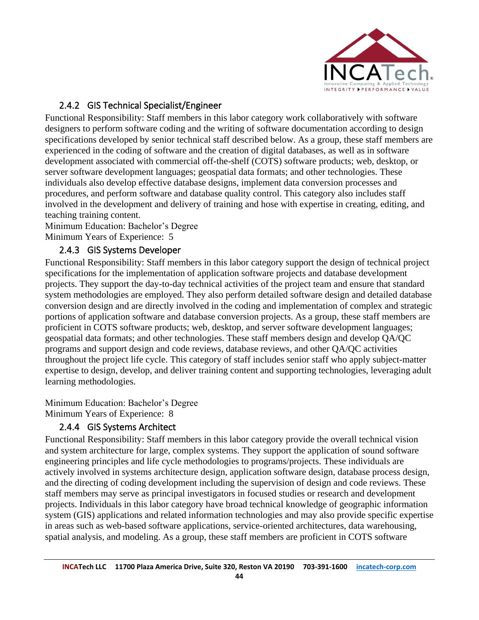

### 2.4.2 GIS Technical Specialist/Engineer

<span id="page-43-0"></span>Functional Responsibility: Staff members in this labor category work collaboratively with software designers to perform software coding and the writing of software documentation according to design specifications developed by senior technical staff described below. As a group, these staff members are experienced in the coding of software and the creation of digital databases, as well as in software development associated with commercial off-the-shelf (COTS) software products; web, desktop, or server software development languages; geospatial data formats; and other technologies. These individuals also develop effective database designs, implement data conversion processes and procedures, and perform software and database quality control. This category also includes staff involved in the development and delivery of training and hose with expertise in creating, editing, and teaching training content.

Minimum Education: Bachelor's Degree Minimum Years of Experience: 5

#### 2.4.3 GIS Systems Developer

<span id="page-43-1"></span>Functional Responsibility: Staff members in this labor category support the design of technical project specifications for the implementation of application software projects and database development projects. They support the day-to-day technical activities of the project team and ensure that standard system methodologies are employed. They also perform detailed software design and detailed database conversion design and are directly involved in the coding and implementation of complex and strategic portions of application software and database conversion projects. As a group, these staff members are proficient in COTS software products; web, desktop, and server software development languages; geospatial data formats; and other technologies. These staff members design and develop QA/QC programs and support design and code reviews, database reviews, and other QA/QC activities throughout the project life cycle. This category of staff includes senior staff who apply subject-matter expertise to design, develop, and deliver training content and supporting technologies, leveraging adult learning methodologies.

Minimum Education: Bachelor's Degree Minimum Years of Experience: 8

### <span id="page-43-2"></span>2.4.4 GIS Systems Architect

Functional Responsibility: Staff members in this labor category provide the overall technical vision and system architecture for large, complex systems. They support the application of sound software engineering principles and life cycle methodologies to programs/projects. These individuals are actively involved in systems architecture design, application software design, database process design, and the directing of coding development including the supervision of design and code reviews. These staff members may serve as principal investigators in focused studies or research and development projects. Individuals in this labor category have broad technical knowledge of geographic information system (GIS) applications and related information technologies and may also provide specific expertise in areas such as web-based software applications, service-oriented architectures, data warehousing, spatial analysis, and modeling. As a group, these staff members are proficient in COTS software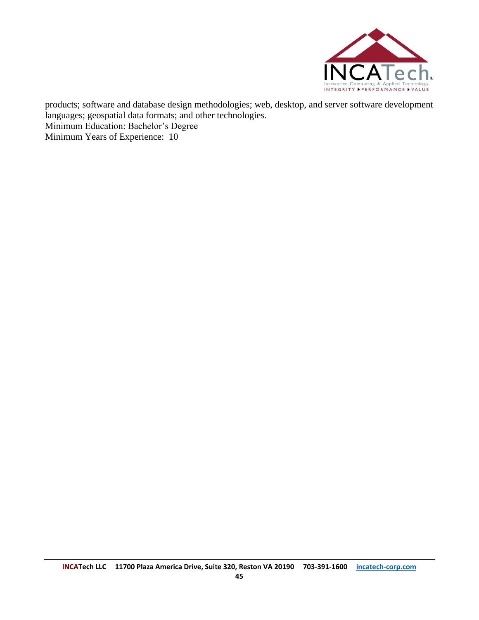

products; software and database design methodologies; web, desktop, and server software development languages; geospatial data formats; and other technologies. Minimum Education: Bachelor's Degree Minimum Years of Experience: 10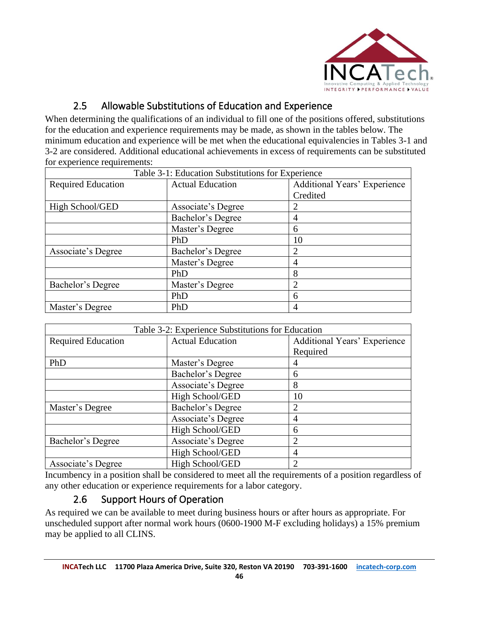

### 2.5 Allowable Substitutions of Education and Experience

<span id="page-45-0"></span>When determining the qualifications of an individual to fill one of the positions offered, substitutions for the education and experience requirements may be made, as shown in the tables below. The minimum education and experience will be met when the educational equivalencies in Tables 3-1 and 3-2 are considered. Additional educational achievements in excess of requirements can be substituted for experience requirements:

|                           | Table 3-1: Education Substitutions for Experience |                                     |
|---------------------------|---------------------------------------------------|-------------------------------------|
| <b>Required Education</b> | <b>Actual Education</b>                           | <b>Additional Years' Experience</b> |
|                           |                                                   | Credited                            |
| High School/GED           | Associate's Degree                                | 2                                   |
|                           | Bachelor's Degree                                 | 4                                   |
|                           | Master's Degree                                   | 6                                   |
|                           | PhD                                               | 10                                  |
| Associate's Degree        | Bachelor's Degree                                 | 2                                   |
|                           | Master's Degree                                   | 4                                   |
|                           | PhD                                               | 8                                   |
| Bachelor's Degree         | Master's Degree                                   | 2                                   |
|                           | PhD                                               | 6                                   |
| Master's Degree           | PhD                                               | 4                                   |

|                           | Table 3-2: Experience Substitutions for Education |                                     |
|---------------------------|---------------------------------------------------|-------------------------------------|
| <b>Required Education</b> | <b>Actual Education</b>                           | <b>Additional Years' Experience</b> |
|                           |                                                   | Required                            |
| PhD                       | Master's Degree                                   |                                     |
|                           | Bachelor's Degree                                 | 6                                   |
|                           | Associate's Degree                                | 8                                   |
|                           | High School/GED                                   | 10                                  |
| Master's Degree           | Bachelor's Degree                                 | っ                                   |
|                           | Associate's Degree                                | 4                                   |
|                           | High School/GED                                   | 6                                   |
| Bachelor's Degree         | Associate's Degree                                | ∍                                   |
|                           | High School/GED                                   | 4                                   |
| Associate's Degree        | High School/GED                                   |                                     |

Incumbency in a position shall be considered to meet all the requirements of a position regardless of any other education or experience requirements for a labor category.

### 2.6 Support Hours of Operation

<span id="page-45-1"></span>As required we can be available to meet during business hours or after hours as appropriate. For unscheduled support after normal work hours (0600-1900 M-F excluding holidays) a 15% premium may be applied to all CLINS.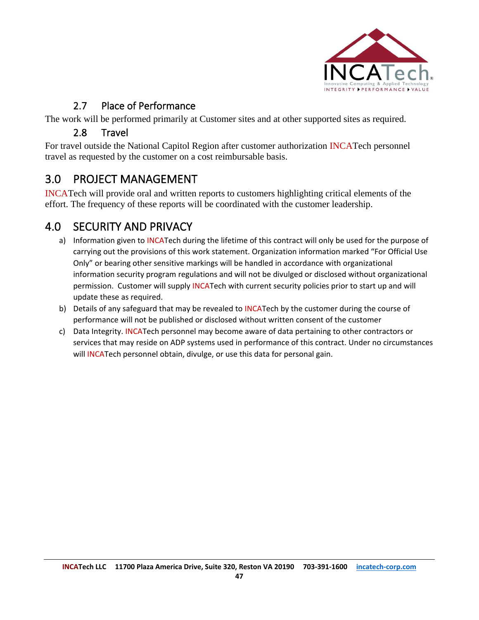

### 2.7 Place of Performance

<span id="page-46-1"></span><span id="page-46-0"></span>The work will be performed primarily at Customer sites and at other supported sites as required.

### 2.8 Travel

For travel outside the National Capitol Region after customer authorization INCATech personnel travel as requested by the customer on a cost reimbursable basis.

## <span id="page-46-2"></span>3.0 PROJECT MANAGEMENT

INCATech will provide oral and written reports to customers highlighting critical elements of the effort. The frequency of these reports will be coordinated with the customer leadership.

## <span id="page-46-3"></span>4.0 SECURITY AND PRIVACY

- a) Information given to INCATech during the lifetime of this contract will only be used for the purpose of carrying out the provisions of this work statement. Organization information marked "For Official Use Only" or bearing other sensitive markings will be handled in accordance with organizational information security program regulations and will not be divulged or disclosed without organizational permission. Customer will supply INCATech with current security policies prior to start up and will update these as required.
- b) Details of any safeguard that may be revealed to INCATech by the customer during the course of performance will not be published or disclosed without written consent of the customer
- c) Data Integrity. INCATech personnel may become aware of data pertaining to other contractors or services that may reside on ADP systems used in performance of this contract. Under no circumstances will INCATech personnel obtain, divulge, or use this data for personal gain.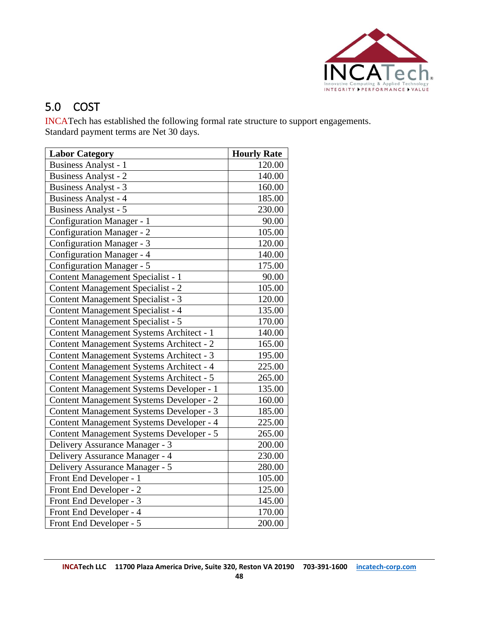

# <span id="page-47-0"></span>5.0 COST

INCATech has established the following formal rate structure to support engagements. Standard payment terms are Net 30 days.

| <b>Labor Category</b>                           | <b>Hourly Rate</b> |
|-------------------------------------------------|--------------------|
| <b>Business Analyst - 1</b>                     | 120.00             |
| <b>Business Analyst - 2</b>                     | 140.00             |
| <b>Business Analyst - 3</b>                     | 160.00             |
| <b>Business Analyst - 4</b>                     | 185.00             |
| <b>Business Analyst - 5</b>                     | 230.00             |
| Configuration Manager - 1                       | 90.00              |
| <b>Configuration Manager - 2</b>                | 105.00             |
| Configuration Manager - 3                       | 120.00             |
| Configuration Manager - 4                       | 140.00             |
| <b>Configuration Manager - 5</b>                | 175.00             |
| Content Management Specialist - 1               | 90.00              |
| Content Management Specialist - 2               | 105.00             |
| Content Management Specialist - 3               | 120.00             |
| Content Management Specialist - 4               | 135.00             |
| Content Management Specialist - 5               | 170.00             |
| Content Management Systems Architect - 1        | 140.00             |
| Content Management Systems Architect - 2        | 165.00             |
| <b>Content Management Systems Architect - 3</b> | 195.00             |
| Content Management Systems Architect - 4        | 225.00             |
| Content Management Systems Architect - 5        | 265.00             |
| Content Management Systems Developer - 1        | 135.00             |
| Content Management Systems Developer - 2        | 160.00             |
| Content Management Systems Developer - 3        | 185.00             |
| Content Management Systems Developer - 4        | 225.00             |
| <b>Content Management Systems Developer - 5</b> | 265.00             |
| Delivery Assurance Manager - 3                  | 200.00             |
| Delivery Assurance Manager - 4                  | 230.00             |
| Delivery Assurance Manager - 5                  | 280.00             |
| Front End Developer - 1                         | 105.00             |
| Front End Developer - 2                         | 125.00             |
| Front End Developer - 3                         | 145.00             |
| Front End Developer - 4                         | 170.00             |
| Front End Developer - 5                         | 200.00             |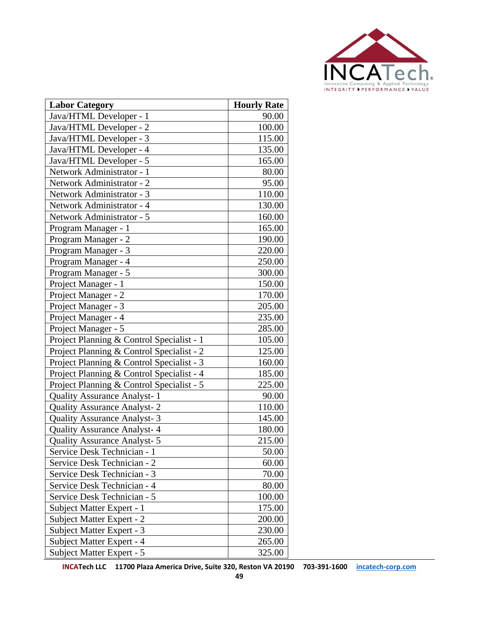

| <b>Labor Category</b>                     | <b>Hourly Rate</b> |
|-------------------------------------------|--------------------|
| Java/HTML Developer - 1                   | 90.00              |
| Java/HTML Developer - 2                   | 100.00             |
| Java/HTML Developer - 3                   | 115.00             |
| Java/HTML Developer - 4                   | 135.00             |
| Java/HTML Developer - 5                   | 165.00             |
| Network Administrator - 1                 | 80.00              |
| Network Administrator - 2                 | 95.00              |
| Network Administrator - 3                 | 110.00             |
| Network Administrator - 4                 | 130.00             |
| Network Administrator - 5                 | 160.00             |
| Program Manager - 1                       | 165.00             |
| Program Manager - 2                       | 190.00             |
| Program Manager - 3                       | 220.00             |
| Program Manager - 4                       | 250.00             |
| Program Manager - 5                       | 300.00             |
| Project Manager - 1                       | 150.00             |
| Project Manager - 2                       | 170.00             |
| Project Manager - 3                       | 205.00             |
| Project Manager - 4                       | 235.00             |
| Project Manager - 5                       | 285.00             |
| Project Planning & Control Specialist - 1 | 105.00             |
| Project Planning & Control Specialist - 2 | 125.00             |
| Project Planning & Control Specialist - 3 | 160.00             |
| Project Planning & Control Specialist - 4 | 185.00             |
| Project Planning & Control Specialist - 5 | 225.00             |
| <b>Quality Assurance Analyst-1</b>        | 90.00              |
| <b>Quality Assurance Analyst-2</b>        | 110.00             |
| Quality Assurance Analyst- 3              | 145.00             |
| <b>Quality Assurance Analyst-4</b>        | 180.00             |
| <b>Quality Assurance Analyst-5</b>        | 215.00             |
| Service Desk Technician - 1               | 50.00              |
| Service Desk Technician - 2               | 60.00              |
| Service Desk Technician - 3               | 70.00              |
| Service Desk Technician - 4               | 80.00              |
| Service Desk Technician - 5               | 100.00             |
| Subject Matter Expert - 1                 | 175.00             |
| Subject Matter Expert - 2                 | 200.00             |
| Subject Matter Expert - 3                 | 230.00             |
| Subject Matter Expert - 4                 | 265.00             |
| Subject Matter Expert - 5                 | 325.00             |

**INCATech LLC 11700 Plaza America Drive, Suite 320, Reston VA 20190 703-391-1600 [incatech-corp.com](http://www.incatech-corp.com/)**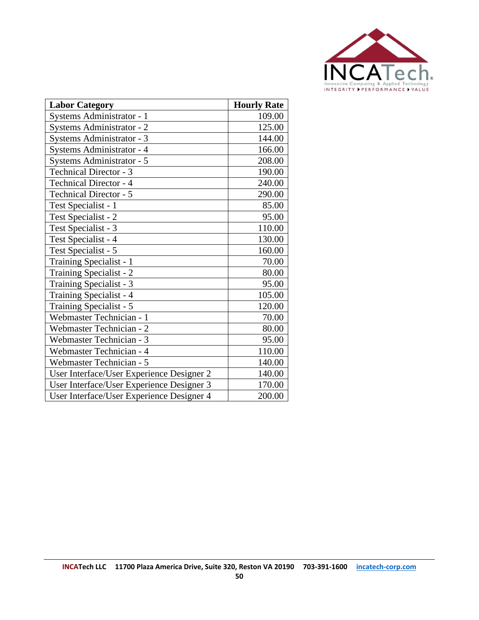

| <b>Labor Category</b>                     | <b>Hourly Rate</b> |
|-------------------------------------------|--------------------|
| Systems Administrator - 1                 | 109.00             |
| Systems Administrator - 2                 | 125.00             |
| Systems Administrator - 3                 | 144.00             |
| Systems Administrator - 4                 | 166.00             |
| Systems Administrator - 5                 | 208.00             |
| <b>Technical Director - 3</b>             | 190.00             |
| <b>Technical Director - 4</b>             | 240.00             |
| <b>Technical Director - 5</b>             | 290.00             |
| Test Specialist - 1                       | 85.00              |
| Test Specialist - 2                       | 95.00              |
| Test Specialist - 3                       | 110.00             |
| Test Specialist - 4                       | 130.00             |
| Test Specialist - 5                       | 160.00             |
| Training Specialist - 1                   | 70.00              |
| Training Specialist - 2                   | 80.00              |
| Training Specialist - 3                   | 95.00              |
| Training Specialist - 4                   | 105.00             |
| Training Specialist - 5                   | 120.00             |
| Webmaster Technician - 1                  | 70.00              |
| Webmaster Technician - 2                  | 80.00              |
| Webmaster Technician - 3                  | 95.00              |
| Webmaster Technician - 4                  | 110.00             |
| Webmaster Technician - 5                  | 140.00             |
| User Interface/User Experience Designer 2 | 140.00             |
| User Interface/User Experience Designer 3 | 170.00             |
| User Interface/User Experience Designer 4 | 200.00             |